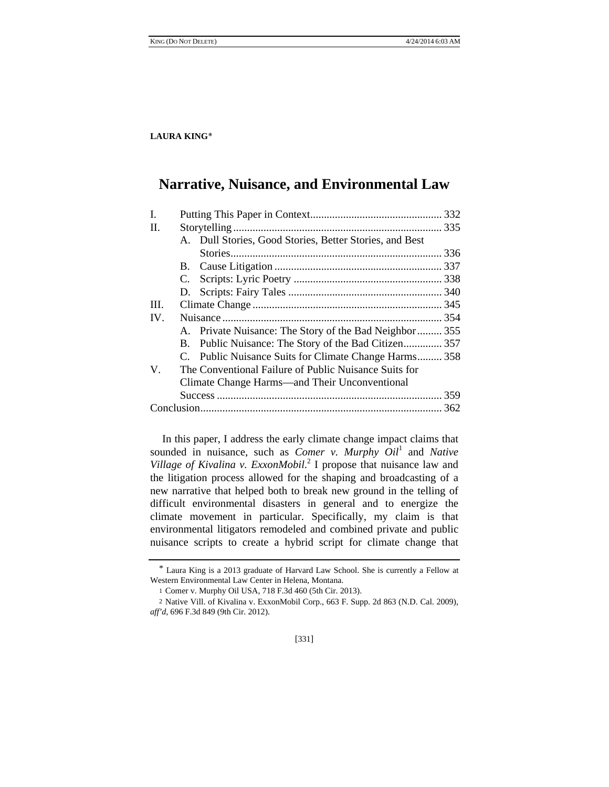# **Narrative, Nuisance, and Environmental Law**

| C. |  |                                                                                                                                                                                                                                                                                                                                              |
|----|--|----------------------------------------------------------------------------------------------------------------------------------------------------------------------------------------------------------------------------------------------------------------------------------------------------------------------------------------------|
|    |  |                                                                                                                                                                                                                                                                                                                                              |
|    |  |                                                                                                                                                                                                                                                                                                                                              |
|    |  |                                                                                                                                                                                                                                                                                                                                              |
|    |  |                                                                                                                                                                                                                                                                                                                                              |
|    |  |                                                                                                                                                                                                                                                                                                                                              |
|    |  |                                                                                                                                                                                                                                                                                                                                              |
|    |  |                                                                                                                                                                                                                                                                                                                                              |
|    |  |                                                                                                                                                                                                                                                                                                                                              |
|    |  |                                                                                                                                                                                                                                                                                                                                              |
|    |  |                                                                                                                                                                                                                                                                                                                                              |
|    |  | A. Dull Stories, Good Stories, Better Stories, and Best<br>A. Private Nuisance: The Story of the Bad Neighbor 355<br>B. Public Nuisance: The Story of the Bad Citizen 357<br>C. Public Nuisance Suits for Climate Change Harms 358<br>The Conventional Failure of Public Nuisance Suits for<br>Climate Change Harms—and Their Unconventional |

In this paper, I address the early climate change impact claims that sounded in nuisance, such as *Comer v. Murphy Oil<sup>1</sup>* and *Native Village of Kivalina v. ExxonMobil*. 2 I propose that nuisance law and the litigation process allowed for the shaping and broadcasting of a new narrative that helped both to break new ground in the telling of difficult environmental disasters in general and to energize the climate movement in particular. Specifically, my claim is that environmental litigators remodeled and combined private and public nuisance scripts to create a hybrid script for climate change that

[331]

<sup>\*</sup> Laura King is a 2013 graduate of Harvard Law School. She is currently a Fellow at Western Environmental Law Center in Helena, Montana.

<sup>1</sup> Comer v. Murphy Oil USA, 718 F.3d 460 (5th Cir. 2013).

<sup>2</sup> Native Vill. of Kivalina v. ExxonMobil Corp., 663 F. Supp. 2d 863 (N.D. Cal. 2009), *aff'd*, 696 F.3d 849 (9th Cir. 2012).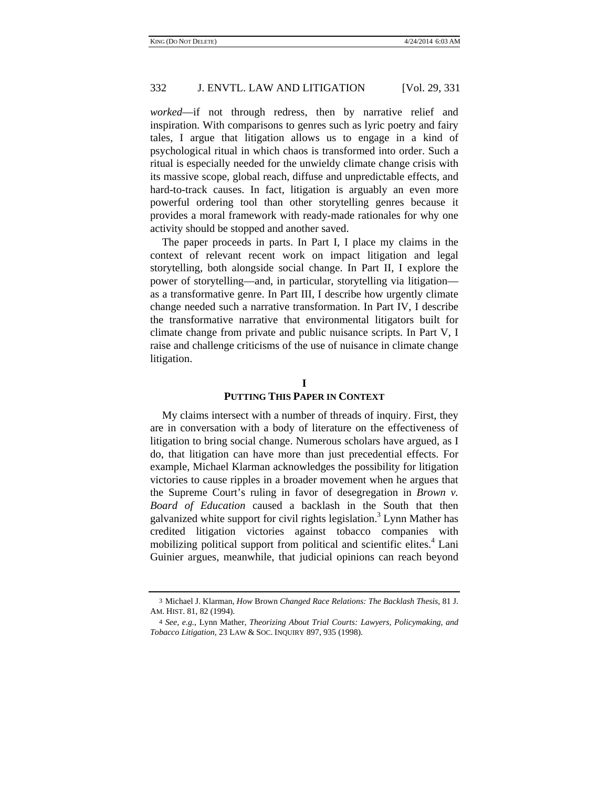*worked*—if not through redress, then by narrative relief and inspiration. With comparisons to genres such as lyric poetry and fairy tales, I argue that litigation allows us to engage in a kind of psychological ritual in which chaos is transformed into order. Such a ritual is especially needed for the unwieldy climate change crisis with its massive scope, global reach, diffuse and unpredictable effects, and hard-to-track causes. In fact, litigation is arguably an even more powerful ordering tool than other storytelling genres because it provides a moral framework with ready-made rationales for why one activity should be stopped and another saved.

The paper proceeds in parts. In Part I, I place my claims in the context of relevant recent work on impact litigation and legal storytelling, both alongside social change. In Part II, I explore the power of storytelling—and, in particular, storytelling via litigation as a transformative genre. In Part III, I describe how urgently climate change needed such a narrative transformation. In Part IV, I describe the transformative narrative that environmental litigators built for climate change from private and public nuisance scripts. In Part V, I raise and challenge criticisms of the use of nuisance in climate change litigation.

## **I**

#### **PUTTING THIS PAPER IN CONTEXT**

My claims intersect with a number of threads of inquiry. First, they are in conversation with a body of literature on the effectiveness of litigation to bring social change. Numerous scholars have argued, as I do, that litigation can have more than just precedential effects. For example, Michael Klarman acknowledges the possibility for litigation victories to cause ripples in a broader movement when he argues that the Supreme Court's ruling in favor of desegregation in *Brown v. Board of Education* caused a backlash in the South that then galvanized white support for civil rights legislation.<sup>3</sup> Lynn Mather has credited litigation victories against tobacco companies with mobilizing political support from political and scientific elites.<sup>4</sup> Lani Guinier argues, meanwhile, that judicial opinions can reach beyond

<sup>3</sup> Michael J. Klarman, *How* Brown *Changed Race Relations: The Backlash Thesis*, 81 J. AM. HIST. 81, 82 (1994).

<sup>4</sup> *See, e.g.*, Lynn Mather, *Theorizing About Trial Courts: Lawyers, Policymaking, and Tobacco Litigation*, 23 LAW & SOC. INQUIRY 897, 935 (1998).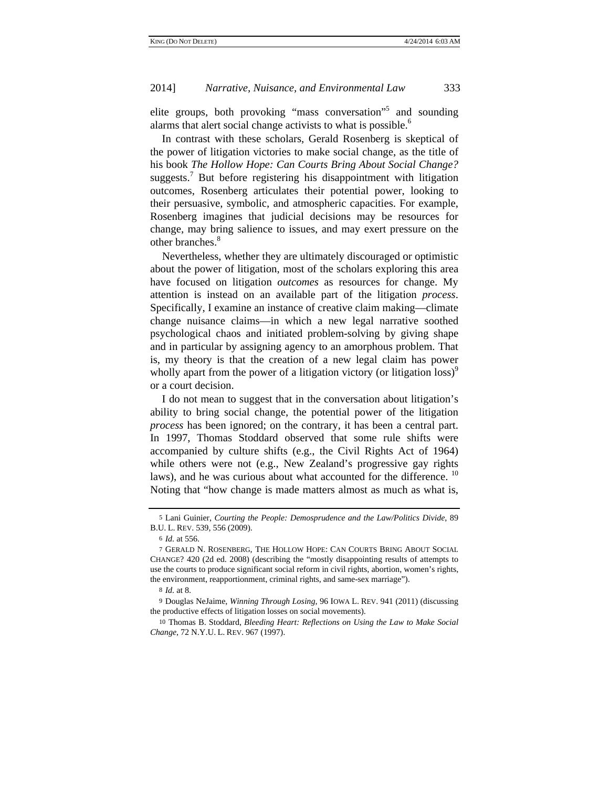elite groups, both provoking "mass conversation"<sup>5</sup> and sounding alarms that alert social change activists to what is possible.<sup>6</sup>

In contrast with these scholars, Gerald Rosenberg is skeptical of the power of litigation victories to make social change, as the title of his book *The Hollow Hope: Can Courts Bring About Social Change?*  suggests.<sup>7</sup> But before registering his disappointment with litigation outcomes, Rosenberg articulates their potential power, looking to their persuasive, symbolic, and atmospheric capacities. For example, Rosenberg imagines that judicial decisions may be resources for change, may bring salience to issues, and may exert pressure on the other branches.<sup>8</sup>

Nevertheless, whether they are ultimately discouraged or optimistic about the power of litigation, most of the scholars exploring this area have focused on litigation *outcomes* as resources for change. My attention is instead on an available part of the litigation *process*. Specifically, I examine an instance of creative claim making—climate change nuisance claims—in which a new legal narrative soothed psychological chaos and initiated problem-solving by giving shape and in particular by assigning agency to an amorphous problem. That is, my theory is that the creation of a new legal claim has power wholly apart from the power of a litigation victory (or litigation loss)<sup>9</sup> or a court decision.

I do not mean to suggest that in the conversation about litigation's ability to bring social change, the potential power of the litigation *process* has been ignored; on the contrary, it has been a central part. In 1997, Thomas Stoddard observed that some rule shifts were accompanied by culture shifts (e.g., the Civil Rights Act of 1964) while others were not (e.g., New Zealand's progressive gay rights laws), and he was curious about what accounted for the difference. <sup>10</sup> Noting that "how change is made matters almost as much as what is,

<sup>5</sup> Lani Guinier, *Courting the People: Demosprudence and the Law/Politics Divide*, 89 B.U. L. REV. 539, 556 (2009).

<sup>6</sup> *Id.* at 556.

<sup>7</sup> GERALD N. ROSENBERG, THE HOLLOW HOPE: CAN COURTS BRING ABOUT SOCIAL CHANGE? 420 (2d ed. 2008) (describing the "mostly disappointing results of attempts to use the courts to produce significant social reform in civil rights, abortion, women's rights, the environment, reapportionment, criminal rights, and same-sex marriage").

<sup>8</sup> *Id.* at 8.

<sup>9</sup> Douglas NeJaime, *Winning Through Losing*, 96 IOWA L. REV. 941 (2011) (discussing the productive effects of litigation losses on social movements).

<sup>10</sup> Thomas B. Stoddard, *Bleeding Heart: Reflections on Using the Law to Make Social Change*, 72 N.Y.U. L. REV. 967 (1997).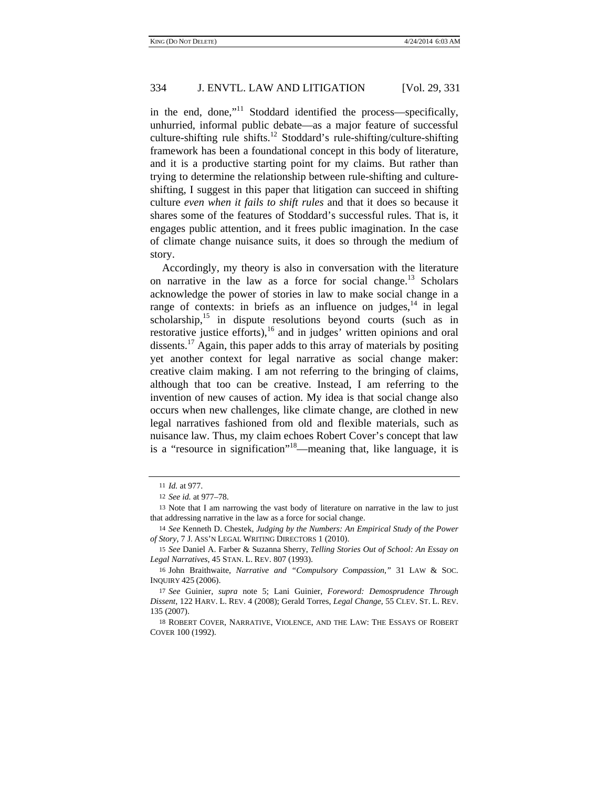in the end, done," $11$  Stoddard identified the process—specifically, unhurried, informal public debate—as a major feature of successful culture-shifting rule shifts.<sup>12</sup> Stoddard's rule-shifting/culture-shifting framework has been a foundational concept in this body of literature, and it is a productive starting point for my claims. But rather than trying to determine the relationship between rule-shifting and cultureshifting, I suggest in this paper that litigation can succeed in shifting culture *even when it fails to shift rules* and that it does so because it shares some of the features of Stoddard's successful rules. That is, it engages public attention, and it frees public imagination. In the case of climate change nuisance suits, it does so through the medium of story.

Accordingly, my theory is also in conversation with the literature on narrative in the law as a force for social change.<sup>13</sup> Scholars acknowledge the power of stories in law to make social change in a range of contexts: in briefs as an influence on judges,  $14$  in legal  $scholarship<sup>15</sup>$  in dispute resolutions beyond courts (such as in restorative justice efforts), $^{16}$  and in judges' written opinions and oral dissents.<sup>17</sup> Again, this paper adds to this array of materials by positing yet another context for legal narrative as social change maker: creative claim making. I am not referring to the bringing of claims, although that too can be creative. Instead, I am referring to the invention of new causes of action. My idea is that social change also occurs when new challenges, like climate change, are clothed in new legal narratives fashioned from old and flexible materials, such as nuisance law. Thus, my claim echoes Robert Cover's concept that law is a "resource in signification"18—meaning that, like language, it is

<sup>11</sup> *Id.* at 977.

<sup>12</sup> *See id.* at 977–78.

<sup>13</sup> Note that I am narrowing the vast body of literature on narrative in the law to just that addressing narrative in the law as a force for social change.

<sup>14</sup> *See* Kenneth D. Chestek, *Judging by the Numbers: An Empirical Study of the Power of Story*, 7 J. ASS'N LEGAL WRITING DIRECTORS 1 (2010).

<sup>15</sup> *See* Daniel A. Farber & Suzanna Sherry, *Telling Stories Out of School: An Essay on Legal Narratives*, 45 STAN. L. REV. 807 (1993).

<sup>16</sup> John Braithwaite, *Narrative and "Compulsory Compassion*,*"* 31 LAW & SOC. INQUIRY 425 (2006).

<sup>17</sup> *See* Guinier, *supra* note 5; Lani Guinier, *Foreword: Demosprudence Through Dissent*, 122 HARV. L. REV. 4 (2008); Gerald Torres, *Legal Change*, 55 CLEV. ST. L. REV. 135 (2007).

<sup>18</sup> ROBERT COVER, NARRATIVE, VIOLENCE, AND THE LAW: THE ESSAYS OF ROBERT COVER 100 (1992).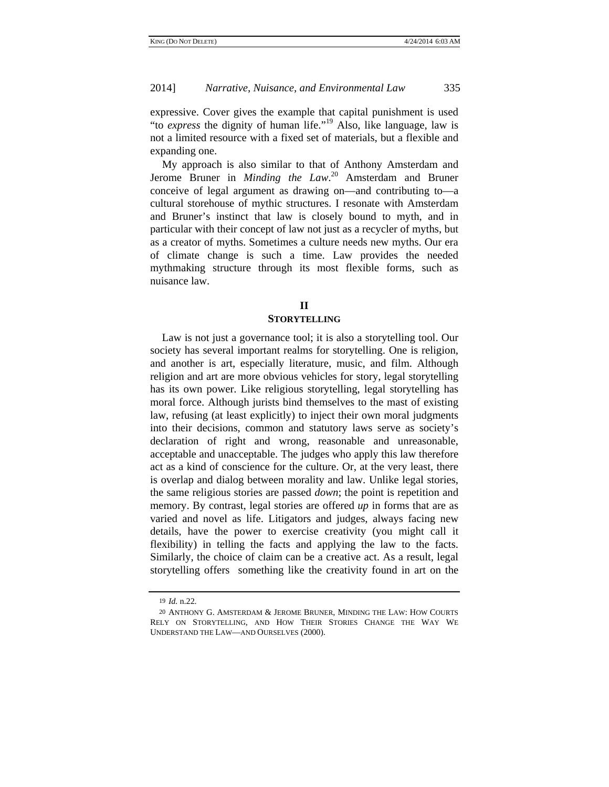expressive. Cover gives the example that capital punishment is used "to *express* the dignity of human life."19 Also, like language, law is not a limited resource with a fixed set of materials, but a flexible and expanding one.

My approach is also similar to that of Anthony Amsterdam and Jerome Bruner in *Minding the Law*. 20 Amsterdam and Bruner conceive of legal argument as drawing on—and contributing to—a cultural storehouse of mythic structures. I resonate with Amsterdam and Bruner's instinct that law is closely bound to myth, and in particular with their concept of law not just as a recycler of myths, but as a creator of myths. Sometimes a culture needs new myths. Our era of climate change is such a time. Law provides the needed mythmaking structure through its most flexible forms, such as nuisance law.

#### **II**

#### **STORYTELLING**

Law is not just a governance tool; it is also a storytelling tool. Our society has several important realms for storytelling. One is religion, and another is art, especially literature, music, and film. Although religion and art are more obvious vehicles for story, legal storytelling has its own power. Like religious storytelling, legal storytelling has moral force. Although jurists bind themselves to the mast of existing law, refusing (at least explicitly) to inject their own moral judgments into their decisions, common and statutory laws serve as society's declaration of right and wrong, reasonable and unreasonable, acceptable and unacceptable. The judges who apply this law therefore act as a kind of conscience for the culture. Or, at the very least, there is overlap and dialog between morality and law. Unlike legal stories, the same religious stories are passed *down*; the point is repetition and memory. By contrast, legal stories are offered *up* in forms that are as varied and novel as life. Litigators and judges, always facing new details, have the power to exercise creativity (you might call it flexibility) in telling the facts and applying the law to the facts. Similarly, the choice of claim can be a creative act. As a result, legal storytelling offers something like the creativity found in art on the

<sup>19</sup> *Id.* n.22.

<sup>20</sup> ANTHONY G. AMSTERDAM & JEROME BRUNER, MINDING THE LAW: HOW COURTS RELY ON STORYTELLING, AND HOW THEIR STORIES CHANGE THE WAY WE UNDERSTAND THE LAW—AND OURSELVES (2000).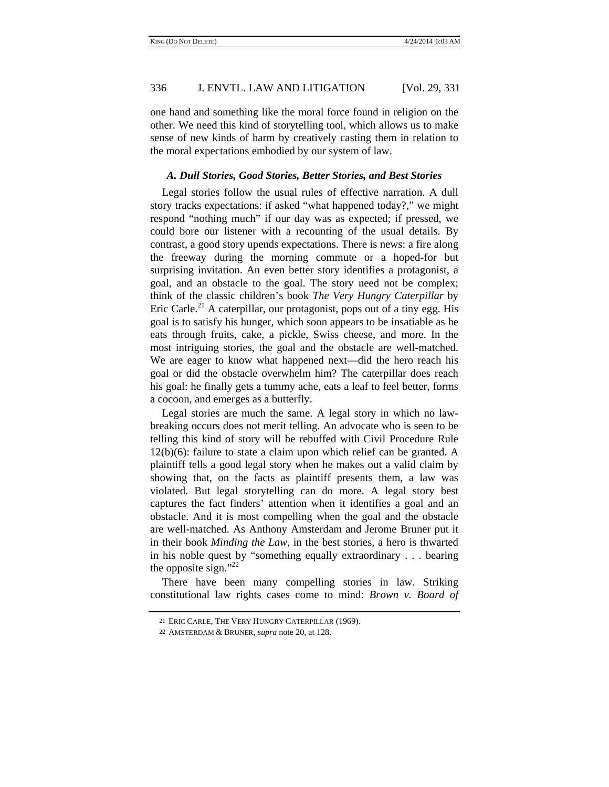one hand and something like the moral force found in religion on the other. We need this kind of storytelling tool, which allows us to make sense of new kinds of harm by creatively casting them in relation to the moral expectations embodied by our system of law.

#### *A. Dull Stories, Good Stories, Better Stories, and Best Stories*

Legal stories follow the usual rules of effective narration. A dull story tracks expectations: if asked "what happened today?," we might respond "nothing much" if our day was as expected; if pressed, we could bore our listener with a recounting of the usual details. By contrast, a good story upends expectations. There is news: a fire along the freeway during the morning commute or a hoped-for but surprising invitation. An even better story identifies a protagonist, a goal, and an obstacle to the goal. The story need not be complex; think of the classic children's book *The Very Hungry Caterpillar* by Eric Carle.<sup>21</sup> A caterpillar, our protagonist, pops out of a tiny egg. His goal is to satisfy his hunger, which soon appears to be insatiable as he eats through fruits, cake, a pickle, Swiss cheese, and more. In the most intriguing stories, the goal and the obstacle are well-matched. We are eager to know what happened next—did the hero reach his goal or did the obstacle overwhelm him? The caterpillar does reach his goal: he finally gets a tummy ache, eats a leaf to feel better, forms a cocoon, and emerges as a butterfly.

Legal stories are much the same. A legal story in which no lawbreaking occurs does not merit telling. An advocate who is seen to be telling this kind of story will be rebuffed with Civil Procedure Rule 12(b)(6): failure to state a claim upon which relief can be granted. A plaintiff tells a good legal story when he makes out a valid claim by showing that, on the facts as plaintiff presents them, a law was violated. But legal storytelling can do more. A legal story best captures the fact finders' attention when it identifies a goal and an obstacle. And it is most compelling when the goal and the obstacle are well-matched. As Anthony Amsterdam and Jerome Bruner put it in their book *Minding the Law*, in the best stories, a hero is thwarted in his noble quest by "something equally extraordinary . . . bearing the opposite sign." $^{22}$ 

There have been many compelling stories in law. Striking constitutional law rights cases come to mind: *Brown v. Board of* 

<sup>21</sup> ERIC CARLE, THE VERY HUNGRY CATERPILLAR (1969).

<sup>22</sup> AMSTERDAM & BRUNER, *supra* note 20, at 128.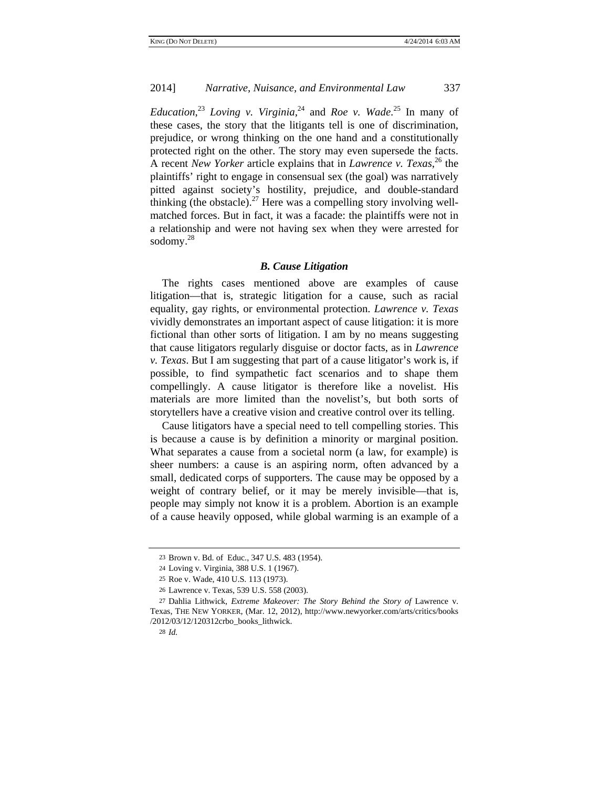*Education*, <sup>23</sup> *Loving v. Virginia*, 24 and *Roe v. Wade*. 25 In many of these cases, the story that the litigants tell is one of discrimination, prejudice, or wrong thinking on the one hand and a constitutionally protected right on the other. The story may even supersede the facts. A recent *New Yorker* article explains that in *Lawrence v. Texas*, 26 the plaintiffs' right to engage in consensual sex (the goal) was narratively pitted against society's hostility, prejudice, and double-standard thinking (the obstacle).<sup>27</sup> Here was a compelling story involving wellmatched forces. But in fact, it was a facade: the plaintiffs were not in a relationship and were not having sex when they were arrested for sodomy.28

#### *B. Cause Litigation*

The rights cases mentioned above are examples of cause litigation—that is, strategic litigation for a cause, such as racial equality, gay rights, or environmental protection. *Lawrence v. Texas*  vividly demonstrates an important aspect of cause litigation: it is more fictional than other sorts of litigation. I am by no means suggesting that cause litigators regularly disguise or doctor facts, as in *Lawrence v. Texas*. But I am suggesting that part of a cause litigator's work is, if possible, to find sympathetic fact scenarios and to shape them compellingly. A cause litigator is therefore like a novelist. His materials are more limited than the novelist's, but both sorts of storytellers have a creative vision and creative control over its telling.

Cause litigators have a special need to tell compelling stories. This is because a cause is by definition a minority or marginal position. What separates a cause from a societal norm (a law, for example) is sheer numbers: a cause is an aspiring norm, often advanced by a small, dedicated corps of supporters. The cause may be opposed by a weight of contrary belief, or it may be merely invisible—that is, people may simply not know it is a problem. Abortion is an example of a cause heavily opposed, while global warming is an example of a

<sup>23</sup> Brown v. Bd. of Educ., 347 U.S. 483 (1954).

<sup>24</sup> Loving v. Virginia, 388 U.S. 1 (1967).

<sup>25</sup> Roe v. Wade, 410 U.S. 113 (1973).

<sup>26</sup> Lawrence v. Texas, 539 U.S. 558 (2003).

<sup>27</sup> Dahlia Lithwick, *Extreme Makeover: The Story Behind the Story of* Lawrence v. Texas, THE NEW YORKER, (Mar. 12, 2012), http://www.newyorker.com/arts/critics/books /2012/03/12/120312crbo\_books\_lithwick.

<sup>28</sup> *Id.*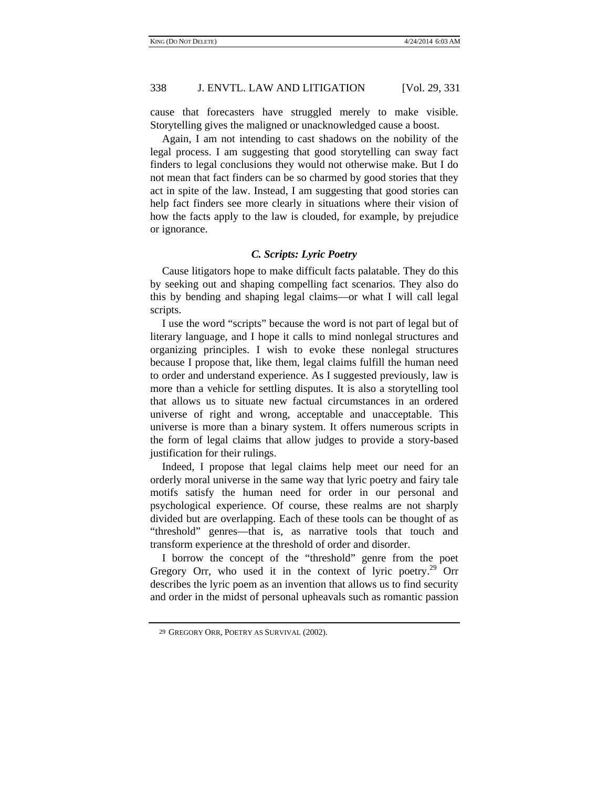cause that forecasters have struggled merely to make visible. Storytelling gives the maligned or unacknowledged cause a boost.

Again, I am not intending to cast shadows on the nobility of the legal process. I am suggesting that good storytelling can sway fact finders to legal conclusions they would not otherwise make. But I do not mean that fact finders can be so charmed by good stories that they act in spite of the law. Instead, I am suggesting that good stories can help fact finders see more clearly in situations where their vision of how the facts apply to the law is clouded, for example, by prejudice or ignorance.

## *C. Scripts: Lyric Poetry*

Cause litigators hope to make difficult facts palatable. They do this by seeking out and shaping compelling fact scenarios. They also do this by bending and shaping legal claims—or what I will call legal scripts.

I use the word "scripts" because the word is not part of legal but of literary language, and I hope it calls to mind nonlegal structures and organizing principles. I wish to evoke these nonlegal structures because I propose that, like them, legal claims fulfill the human need to order and understand experience. As I suggested previously, law is more than a vehicle for settling disputes. It is also a storytelling tool that allows us to situate new factual circumstances in an ordered universe of right and wrong, acceptable and unacceptable. This universe is more than a binary system. It offers numerous scripts in the form of legal claims that allow judges to provide a story-based justification for their rulings.

Indeed, I propose that legal claims help meet our need for an orderly moral universe in the same way that lyric poetry and fairy tale motifs satisfy the human need for order in our personal and psychological experience. Of course, these realms are not sharply divided but are overlapping. Each of these tools can be thought of as "threshold" genres—that is, as narrative tools that touch and transform experience at the threshold of order and disorder.

I borrow the concept of the "threshold" genre from the poet Gregory Orr, who used it in the context of lyric poetry.<sup>29</sup> Orr describes the lyric poem as an invention that allows us to find security and order in the midst of personal upheavals such as romantic passion

<sup>29</sup> GREGORY ORR, POETRY AS SURVIVAL (2002).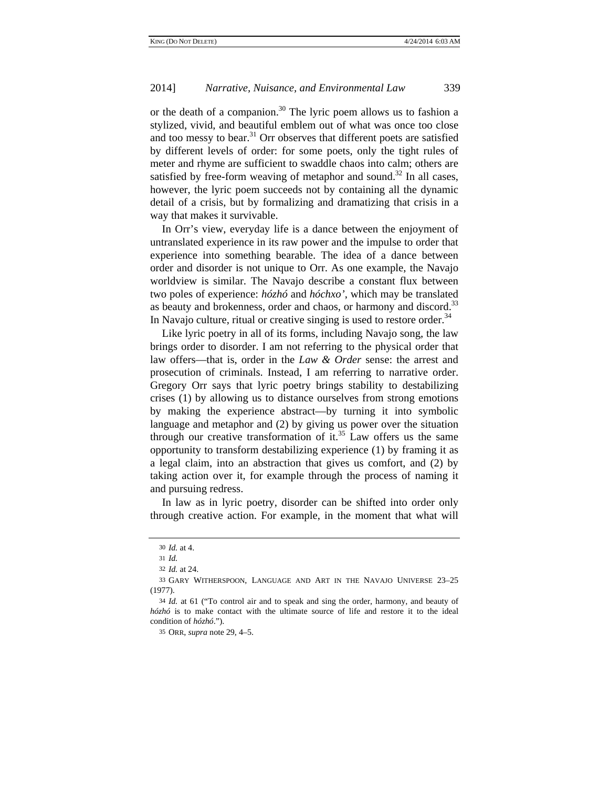or the death of a companion.<sup>30</sup> The lyric poem allows us to fashion a stylized, vivid, and beautiful emblem out of what was once too close and too messy to bear. $31$  Orr observes that different poets are satisfied by different levels of order: for some poets, only the tight rules of meter and rhyme are sufficient to swaddle chaos into calm; others are satisfied by free-form weaving of metaphor and sound.<sup>32</sup> In all cases, however, the lyric poem succeeds not by containing all the dynamic detail of a crisis, but by formalizing and dramatizing that crisis in a way that makes it survivable.

In Orr's view, everyday life is a dance between the enjoyment of untranslated experience in its raw power and the impulse to order that experience into something bearable. The idea of a dance between order and disorder is not unique to Orr. As one example, the Navajo worldview is similar. The Navajo describe a constant flux between two poles of experience: *hózhó* and *hóchxo'*, which may be translated as beauty and brokenness, order and chaos, or harmony and discord.<sup>33</sup> In Navajo culture, ritual or creative singing is used to restore order.<sup>34</sup>

Like lyric poetry in all of its forms, including Navajo song, the law brings order to disorder. I am not referring to the physical order that law offers—that is, order in the *Law & Order* sense: the arrest and prosecution of criminals. Instead, I am referring to narrative order. Gregory Orr says that lyric poetry brings stability to destabilizing crises (1) by allowing us to distance ourselves from strong emotions by making the experience abstract—by turning it into symbolic language and metaphor and (2) by giving us power over the situation through our creative transformation of it.<sup>35</sup> Law offers us the same opportunity to transform destabilizing experience (1) by framing it as a legal claim, into an abstraction that gives us comfort, and (2) by taking action over it, for example through the process of naming it and pursuing redress.

In law as in lyric poetry, disorder can be shifted into order only through creative action. For example, in the moment that what will

<sup>30</sup> *Id.* at 4.

<sup>31</sup> *Id.*

<sup>32</sup> *Id.* at 24.

<sup>33</sup> GARY WITHERSPOON, LANGUAGE AND ART IN THE NAVAJO UNIVERSE 23–25 (1977).

<sup>34</sup> *Id.* at 61 ("To control air and to speak and sing the order, harmony, and beauty of *hózhó* is to make contact with the ultimate source of life and restore it to the ideal condition of *hózhó*.").

<sup>35</sup> ORR, *supra* note 29, 4–5.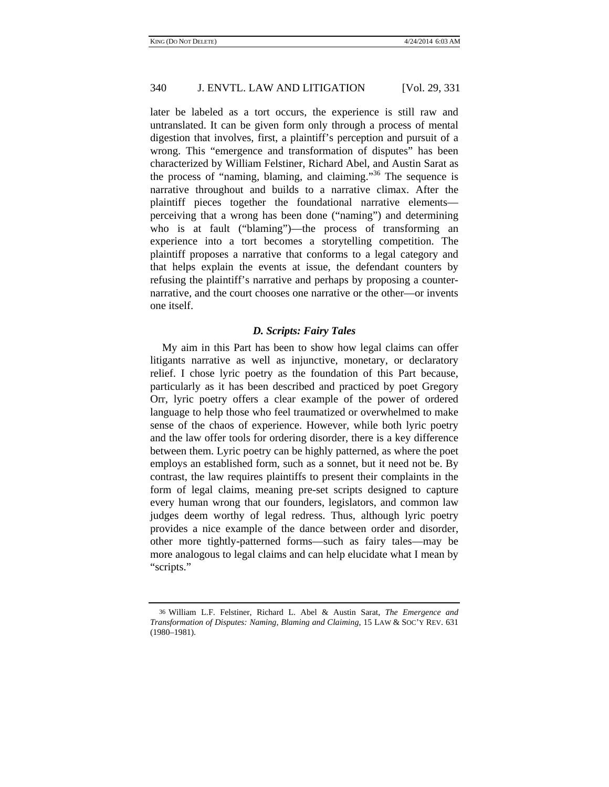later be labeled as a tort occurs, the experience is still raw and untranslated. It can be given form only through a process of mental digestion that involves, first, a plaintiff's perception and pursuit of a wrong. This "emergence and transformation of disputes" has been characterized by William Felstiner, Richard Abel, and Austin Sarat as the process of "naming, blaming, and claiming."<sup>36</sup> The sequence is narrative throughout and builds to a narrative climax. After the plaintiff pieces together the foundational narrative elements perceiving that a wrong has been done ("naming") and determining who is at fault ("blaming")—the process of transforming an experience into a tort becomes a storytelling competition. The plaintiff proposes a narrative that conforms to a legal category and that helps explain the events at issue, the defendant counters by refusing the plaintiff's narrative and perhaps by proposing a counternarrative, and the court chooses one narrative or the other—or invents one itself.

## *D. Scripts: Fairy Tales*

My aim in this Part has been to show how legal claims can offer litigants narrative as well as injunctive, monetary, or declaratory relief. I chose lyric poetry as the foundation of this Part because, particularly as it has been described and practiced by poet Gregory Orr, lyric poetry offers a clear example of the power of ordered language to help those who feel traumatized or overwhelmed to make sense of the chaos of experience. However, while both lyric poetry and the law offer tools for ordering disorder, there is a key difference between them. Lyric poetry can be highly patterned, as where the poet employs an established form, such as a sonnet, but it need not be. By contrast, the law requires plaintiffs to present their complaints in the form of legal claims, meaning pre-set scripts designed to capture every human wrong that our founders, legislators, and common law judges deem worthy of legal redress. Thus, although lyric poetry provides a nice example of the dance between order and disorder, other more tightly-patterned forms—such as fairy tales—may be more analogous to legal claims and can help elucidate what I mean by "scripts."

<sup>36</sup> William L.F. Felstiner, Richard L. Abel & Austin Sarat, *The Emergence and Transformation of Disputes: Naming, Blaming and Claiming*, 15 LAW & SOC'Y REV. 631 (1980–1981).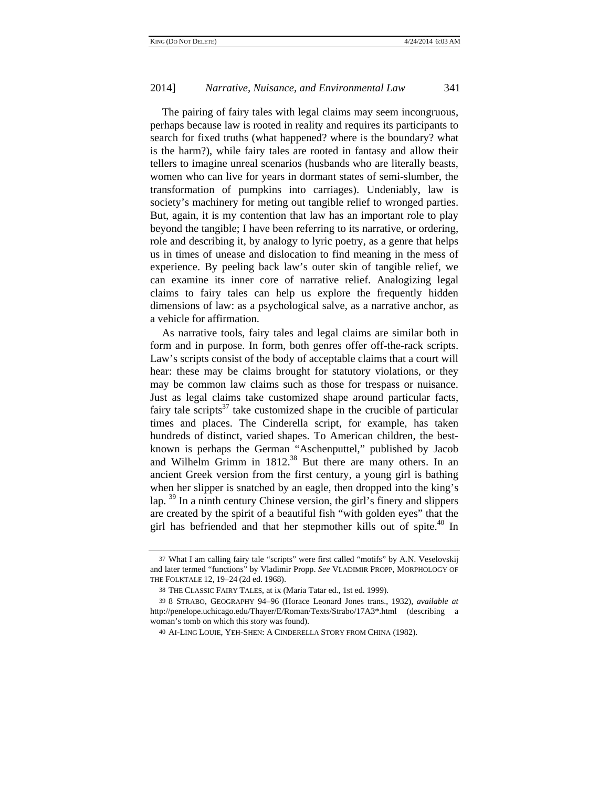The pairing of fairy tales with legal claims may seem incongruous, perhaps because law is rooted in reality and requires its participants to search for fixed truths (what happened? where is the boundary? what is the harm?), while fairy tales are rooted in fantasy and allow their tellers to imagine unreal scenarios (husbands who are literally beasts, women who can live for years in dormant states of semi-slumber, the transformation of pumpkins into carriages). Undeniably, law is society's machinery for meting out tangible relief to wronged parties. But, again, it is my contention that law has an important role to play beyond the tangible; I have been referring to its narrative, or ordering, role and describing it, by analogy to lyric poetry, as a genre that helps us in times of unease and dislocation to find meaning in the mess of experience. By peeling back law's outer skin of tangible relief, we can examine its inner core of narrative relief. Analogizing legal claims to fairy tales can help us explore the frequently hidden dimensions of law: as a psychological salve, as a narrative anchor, as a vehicle for affirmation.

As narrative tools, fairy tales and legal claims are similar both in form and in purpose. In form, both genres offer off-the-rack scripts. Law's scripts consist of the body of acceptable claims that a court will hear: these may be claims brought for statutory violations, or they may be common law claims such as those for trespass or nuisance. Just as legal claims take customized shape around particular facts, fairy tale scripts $^{37}$  take customized shape in the crucible of particular times and places. The Cinderella script, for example, has taken hundreds of distinct, varied shapes. To American children, the bestknown is perhaps the German "Aschenputtel," published by Jacob and Wilhelm Grimm in  $1812<sup>38</sup>$  But there are many others. In an ancient Greek version from the first century, a young girl is bathing when her slipper is snatched by an eagle, then dropped into the king's lap. <sup>39</sup> In a ninth century Chinese version, the girl's finery and slippers are created by the spirit of a beautiful fish "with golden eyes" that the girl has befriended and that her stepmother kills out of spite.<sup>40</sup> In

<sup>37</sup> What I am calling fairy tale "scripts" were first called "motifs" by A.N. Veselovskij and later termed "functions" by Vladimir Propp. *See* VLADIMIR PROPP, MORPHOLOGY OF THE FOLKTALE 12, 19–24 (2d ed. 1968).

<sup>38</sup> THE CLASSIC FAIRY TALES, at ix (Maria Tatar ed., 1st ed. 1999).

<sup>39</sup> 8 STRABO, GEOGRAPHY 94–96 (Horace Leonard Jones trans., 1932), *available at*  http://penelope.uchicago.edu/Thayer/E/Roman/Texts/Strabo/17A3\*.html (describing a woman's tomb on which this story was found).

<sup>40</sup> AI-LING LOUIE, YEH-SHEN: A CINDERELLA STORY FROM CHINA (1982).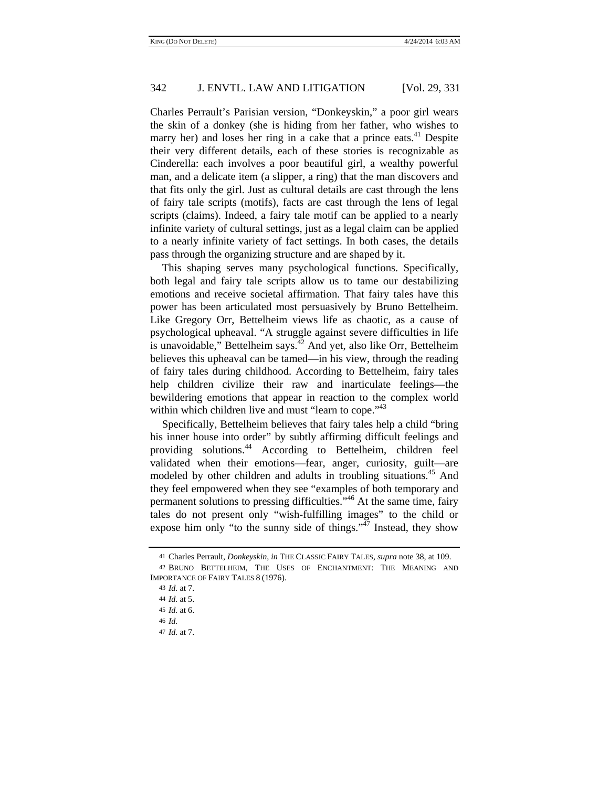Charles Perrault's Parisian version, "Donkeyskin," a poor girl wears the skin of a donkey (she is hiding from her father, who wishes to marry her) and loses her ring in a cake that a prince eats.<sup>41</sup> Despite their very different details, each of these stories is recognizable as Cinderella: each involves a poor beautiful girl, a wealthy powerful man, and a delicate item (a slipper, a ring) that the man discovers and that fits only the girl. Just as cultural details are cast through the lens of fairy tale scripts (motifs), facts are cast through the lens of legal scripts (claims). Indeed, a fairy tale motif can be applied to a nearly infinite variety of cultural settings, just as a legal claim can be applied to a nearly infinite variety of fact settings. In both cases, the details pass through the organizing structure and are shaped by it.

This shaping serves many psychological functions. Specifically, both legal and fairy tale scripts allow us to tame our destabilizing emotions and receive societal affirmation. That fairy tales have this power has been articulated most persuasively by Bruno Bettelheim. Like Gregory Orr, Bettelheim views life as chaotic, as a cause of psychological upheaval. "A struggle against severe difficulties in life is unavoidable," Bettelheim says. $42$  And yet, also like Orr, Bettelheim believes this upheaval can be tamed—in his view, through the reading of fairy tales during childhood. According to Bettelheim, fairy tales help children civilize their raw and inarticulate feelings—the bewildering emotions that appear in reaction to the complex world within which children live and must "learn to cope."<sup>43</sup>

Specifically, Bettelheim believes that fairy tales help a child "bring his inner house into order" by subtly affirming difficult feelings and providing solutions.44 According to Bettelheim, children feel validated when their emotions—fear, anger, curiosity, guilt—are modeled by other children and adults in troubling situations.<sup>45</sup> And they feel empowered when they see "examples of both temporary and permanent solutions to pressing difficulties."46 At the same time, fairy tales do not present only "wish-fulfilling images" to the child or expose him only "to the sunny side of things." $\frac{47}{7}$  Instead, they show

<sup>41</sup> Charles Perrault, *Donkeyskin*, *in* THE CLASSIC FAIRY TALES, *supra* note 38, at 109.

<sup>42</sup> BRUNO BETTELHEIM, THE USES OF ENCHANTMENT: THE MEANING AND IMPORTANCE OF FAIRY TALES 8 (1976).

<sup>43</sup> *Id.* at 7. 44 *Id.* at 5. 45 *Id.* at 6. 46 *Id.* 47 *Id.* at 7.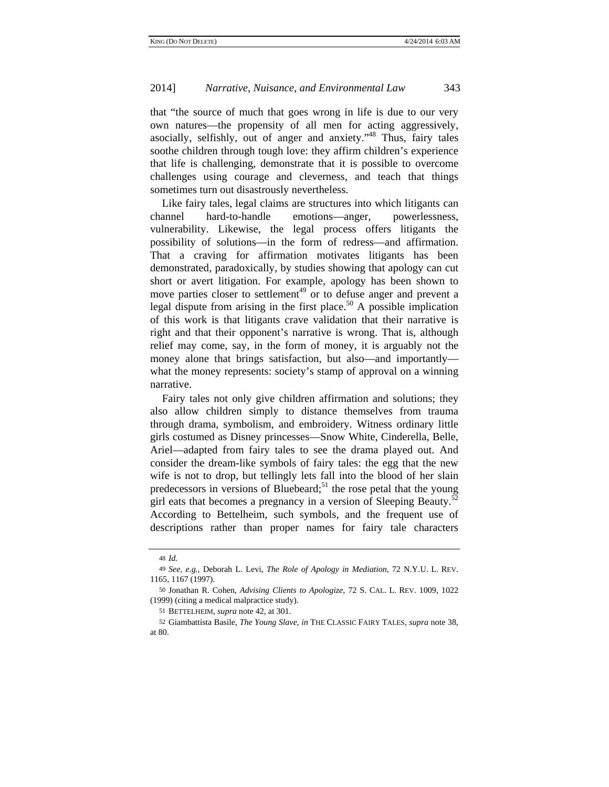that "the source of much that goes wrong in life is due to our very own natures—the propensity of all men for acting aggressively, asocially, selfishly, out of anger and anxiety."48 Thus, fairy tales soothe children through tough love: they affirm children's experience that life is challenging, demonstrate that it is possible to overcome challenges using courage and cleverness, and teach that things sometimes turn out disastrously nevertheless.

Like fairy tales, legal claims are structures into which litigants can channel hard-to-handle emotions—anger, powerlessness, vulnerability. Likewise, the legal process offers litigants the possibility of solutions—in the form of redress—and affirmation. That a craving for affirmation motivates litigants has been demonstrated, paradoxically, by studies showing that apology can cut short or avert litigation. For example, apology has been shown to move parties closer to settlement<sup>49</sup> or to defuse anger and prevent a legal dispute from arising in the first place.<sup>50</sup> A possible implication of this work is that litigants crave validation that their narrative is right and that their opponent's narrative is wrong. That is, although relief may come, say, in the form of money, it is arguably not the money alone that brings satisfaction, but also—and importantly what the money represents: society's stamp of approval on a winning narrative.

Fairy tales not only give children affirmation and solutions; they also allow children simply to distance themselves from trauma through drama, symbolism, and embroidery. Witness ordinary little girls costumed as Disney princesses—Snow White, Cinderella, Belle, Ariel—adapted from fairy tales to see the drama played out. And consider the dream-like symbols of fairy tales: the egg that the new wife is not to drop, but tellingly lets fall into the blood of her slain predecessors in versions of Bluebeard;<sup>51</sup> the rose petal that the young girl eats that becomes a pregnancy in a version of Sleeping Beauty.<sup>52</sup> According to Bettelheim, such symbols, and the frequent use of descriptions rather than proper names for fairy tale characters

<sup>48</sup> *Id.*

<sup>49</sup> *See, e.g.*, Deborah L. Levi, *The Role of Apology in Mediation*, 72 N.Y.U. L. REV. 1165, 1167 (1997).

<sup>50</sup> Jonathan R. Cohen, *Advising Clients to Apologize*, 72 S. CAL. L. REV. 1009, 1022 (1999) (citing a medical malpractice study).

<sup>51</sup> BETTELHEIM, *supra* note 42, at 301.

<sup>52</sup> Giambattista Basile, *The Young Slave*, *in* THE CLASSIC FAIRY TALES, *supra* note 38, at 80.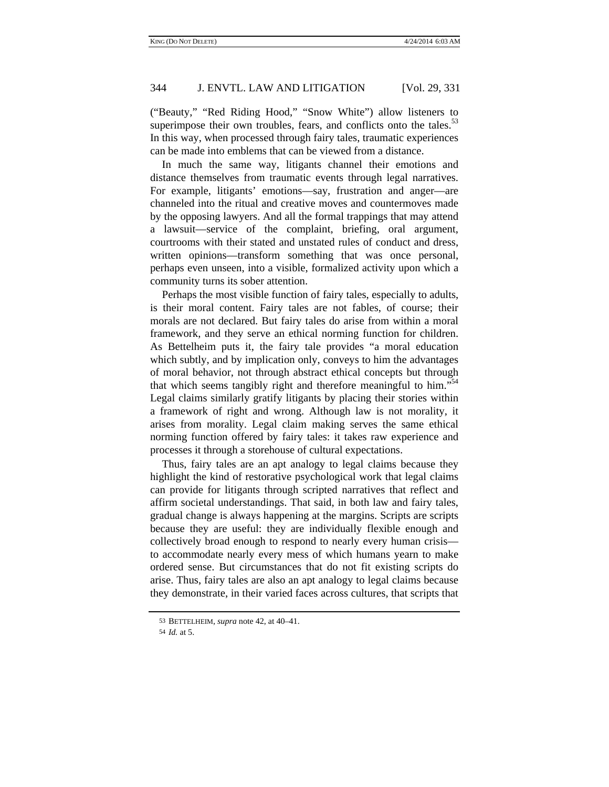("Beauty," "Red Riding Hood," "Snow White") allow listeners to superimpose their own troubles, fears, and conflicts onto the tales.<sup>53</sup> In this way, when processed through fairy tales, traumatic experiences can be made into emblems that can be viewed from a distance.

In much the same way, litigants channel their emotions and distance themselves from traumatic events through legal narratives. For example, litigants' emotions—say, frustration and anger—are channeled into the ritual and creative moves and countermoves made by the opposing lawyers. And all the formal trappings that may attend a lawsuit—service of the complaint, briefing, oral argument, courtrooms with their stated and unstated rules of conduct and dress, written opinions—transform something that was once personal, perhaps even unseen, into a visible, formalized activity upon which a community turns its sober attention.

Perhaps the most visible function of fairy tales, especially to adults, is their moral content. Fairy tales are not fables, of course; their morals are not declared. But fairy tales do arise from within a moral framework, and they serve an ethical norming function for children. As Bettelheim puts it, the fairy tale provides "a moral education which subtly, and by implication only, conveys to him the advantages of moral behavior, not through abstract ethical concepts but through that which seems tangibly right and therefore meaningful to him. $154$ Legal claims similarly gratify litigants by placing their stories within a framework of right and wrong. Although law is not morality, it arises from morality. Legal claim making serves the same ethical norming function offered by fairy tales: it takes raw experience and processes it through a storehouse of cultural expectations.

Thus, fairy tales are an apt analogy to legal claims because they highlight the kind of restorative psychological work that legal claims can provide for litigants through scripted narratives that reflect and affirm societal understandings. That said, in both law and fairy tales, gradual change is always happening at the margins. Scripts are scripts because they are useful: they are individually flexible enough and collectively broad enough to respond to nearly every human crisis to accommodate nearly every mess of which humans yearn to make ordered sense. But circumstances that do not fit existing scripts do arise. Thus, fairy tales are also an apt analogy to legal claims because they demonstrate, in their varied faces across cultures, that scripts that

<sup>53</sup> BETTELHEIM, *supra* note 42, at 40–41.

<sup>54</sup> *Id.* at 5.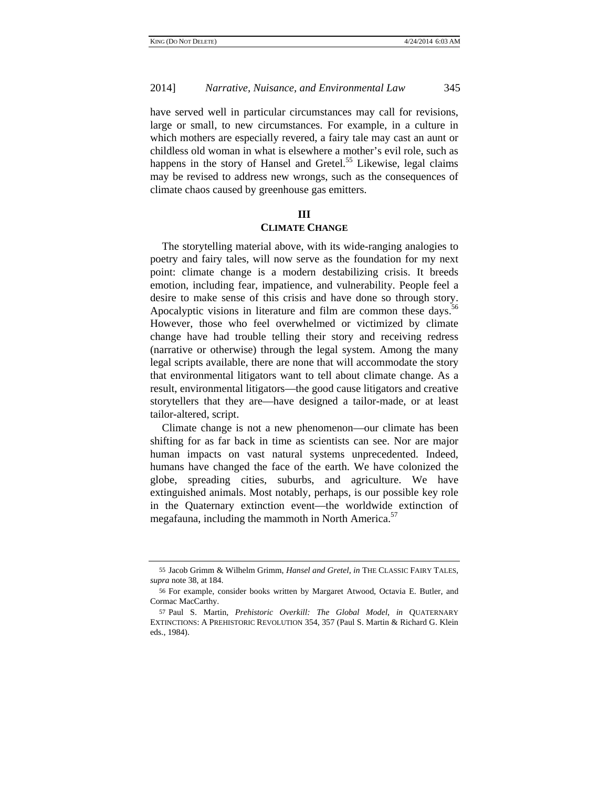have served well in particular circumstances may call for revisions, large or small, to new circumstances. For example, in a culture in which mothers are especially revered, a fairy tale may cast an aunt or childless old woman in what is elsewhere a mother's evil role, such as happens in the story of Hansel and Gretel.<sup>55</sup> Likewise, legal claims may be revised to address new wrongs, such as the consequences of climate chaos caused by greenhouse gas emitters.

## **III**

#### **CLIMATE CHANGE**

The storytelling material above, with its wide-ranging analogies to poetry and fairy tales, will now serve as the foundation for my next point: climate change is a modern destabilizing crisis. It breeds emotion, including fear, impatience, and vulnerability. People feel a desire to make sense of this crisis and have done so through story. Apocalyptic visions in literature and film are common these days.<sup>56</sup> However, those who feel overwhelmed or victimized by climate change have had trouble telling their story and receiving redress (narrative or otherwise) through the legal system. Among the many legal scripts available, there are none that will accommodate the story that environmental litigators want to tell about climate change. As a result, environmental litigators—the good cause litigators and creative storytellers that they are—have designed a tailor-made, or at least tailor-altered, script.

Climate change is not a new phenomenon—our climate has been shifting for as far back in time as scientists can see. Nor are major human impacts on vast natural systems unprecedented. Indeed, humans have changed the face of the earth. We have colonized the globe, spreading cities, suburbs, and agriculture. We have extinguished animals. Most notably, perhaps, is our possible key role in the Quaternary extinction event—the worldwide extinction of megafauna, including the mammoth in North America.<sup>57</sup>

<sup>55</sup> Jacob Grimm & Wilhelm Grimm, *Hansel and Gretel*, *in* THE CLASSIC FAIRY TALES, *supra* note 38, at 184.

<sup>56</sup> For example, consider books written by Margaret Atwood, Octavia E. Butler, and Cormac MacCarthy.

<sup>57</sup> Paul S. Martin, *Prehistoric Overkill: The Global Model*, *in* QUATERNARY EXTINCTIONS: A PREHISTORIC REVOLUTION 354, 357 (Paul S. Martin & Richard G. Klein eds., 1984).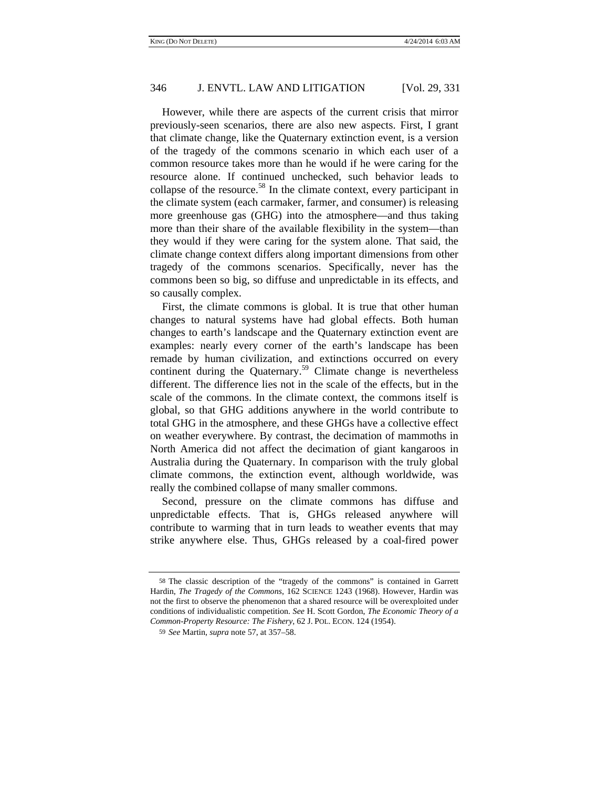However, while there are aspects of the current crisis that mirror previously-seen scenarios, there are also new aspects. First, I grant that climate change, like the Quaternary extinction event, is a version of the tragedy of the commons scenario in which each user of a common resource takes more than he would if he were caring for the resource alone. If continued unchecked, such behavior leads to collapse of the resource.<sup>58</sup> In the climate context, every participant in the climate system (each carmaker, farmer, and consumer) is releasing more greenhouse gas (GHG) into the atmosphere—and thus taking more than their share of the available flexibility in the system—than they would if they were caring for the system alone. That said, the climate change context differs along important dimensions from other tragedy of the commons scenarios. Specifically, never has the commons been so big, so diffuse and unpredictable in its effects, and so causally complex.

First, the climate commons is global. It is true that other human changes to natural systems have had global effects. Both human changes to earth's landscape and the Quaternary extinction event are examples: nearly every corner of the earth's landscape has been remade by human civilization, and extinctions occurred on every continent during the Quaternary.<sup>59</sup> Climate change is nevertheless different. The difference lies not in the scale of the effects, but in the scale of the commons. In the climate context, the commons itself is global, so that GHG additions anywhere in the world contribute to total GHG in the atmosphere, and these GHGs have a collective effect on weather everywhere. By contrast, the decimation of mammoths in North America did not affect the decimation of giant kangaroos in Australia during the Quaternary. In comparison with the truly global climate commons, the extinction event, although worldwide, was really the combined collapse of many smaller commons.

Second, pressure on the climate commons has diffuse and unpredictable effects. That is, GHGs released anywhere will contribute to warming that in turn leads to weather events that may strike anywhere else. Thus, GHGs released by a coal-fired power

<sup>58</sup> The classic description of the "tragedy of the commons" is contained in Garrett Hardin, *The Tragedy of the Commons*, 162 SCIENCE 1243 (1968). However, Hardin was not the first to observe the phenomenon that a shared resource will be overexploited under conditions of individualistic competition. *See* H. Scott Gordon, *The Economic Theory of a Common-Property Resource: The Fishery*, 62 J. POL. ECON. 124 (1954).

<sup>59</sup> *See* Martin, *supra* note 57, at 357–58.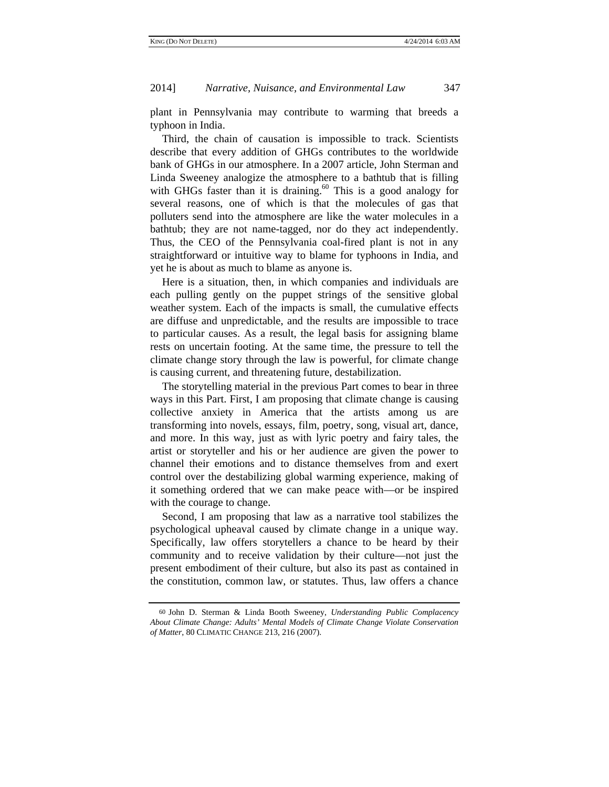plant in Pennsylvania may contribute to warming that breeds a typhoon in India.

Third, the chain of causation is impossible to track. Scientists describe that every addition of GHGs contributes to the worldwide bank of GHGs in our atmosphere. In a 2007 article, John Sterman and Linda Sweeney analogize the atmosphere to a bathtub that is filling with GHGs faster than it is draining.<sup>60</sup> This is a good analogy for several reasons, one of which is that the molecules of gas that polluters send into the atmosphere are like the water molecules in a bathtub; they are not name-tagged, nor do they act independently. Thus, the CEO of the Pennsylvania coal-fired plant is not in any straightforward or intuitive way to blame for typhoons in India, and yet he is about as much to blame as anyone is.

Here is a situation, then, in which companies and individuals are each pulling gently on the puppet strings of the sensitive global weather system. Each of the impacts is small, the cumulative effects are diffuse and unpredictable, and the results are impossible to trace to particular causes. As a result, the legal basis for assigning blame rests on uncertain footing. At the same time, the pressure to tell the climate change story through the law is powerful, for climate change is causing current, and threatening future, destabilization.

The storytelling material in the previous Part comes to bear in three ways in this Part. First, I am proposing that climate change is causing collective anxiety in America that the artists among us are transforming into novels, essays, film, poetry, song, visual art, dance, and more. In this way, just as with lyric poetry and fairy tales, the artist or storyteller and his or her audience are given the power to channel their emotions and to distance themselves from and exert control over the destabilizing global warming experience, making of it something ordered that we can make peace with—or be inspired with the courage to change.

Second, I am proposing that law as a narrative tool stabilizes the psychological upheaval caused by climate change in a unique way. Specifically, law offers storytellers a chance to be heard by their community and to receive validation by their culture—not just the present embodiment of their culture, but also its past as contained in the constitution, common law, or statutes. Thus, law offers a chance

<sup>60</sup> John D. Sterman & Linda Booth Sweeney, *Understanding Public Complacency About Climate Change: Adults' Mental Models of Climate Change Violate Conservation of Matter*, 80 CLIMATIC CHANGE 213, 216 (2007).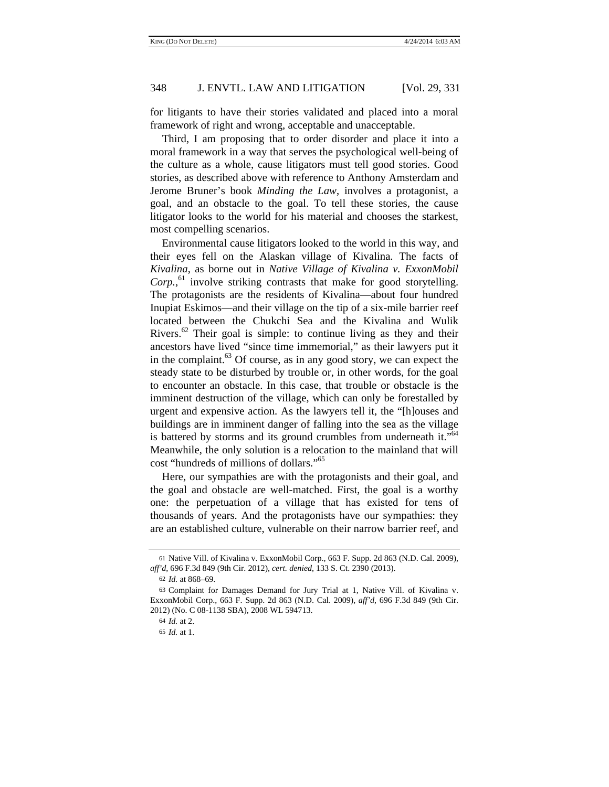for litigants to have their stories validated and placed into a moral framework of right and wrong, acceptable and unacceptable.

Third, I am proposing that to order disorder and place it into a moral framework in a way that serves the psychological well-being of the culture as a whole, cause litigators must tell good stories. Good stories, as described above with reference to Anthony Amsterdam and Jerome Bruner's book *Minding the Law*, involves a protagonist, a goal, and an obstacle to the goal. To tell these stories, the cause litigator looks to the world for his material and chooses the starkest, most compelling scenarios.

Environmental cause litigators looked to the world in this way, and their eyes fell on the Alaskan village of Kivalina. The facts of *Kivalina*, as borne out in *Native Village of Kivalina v. ExxonMobil Corp.*, 61 involve striking contrasts that make for good storytelling. The protagonists are the residents of Kivalina—about four hundred Inupiat Eskimos—and their village on the tip of a six-mile barrier reef located between the Chukchi Sea and the Kivalina and Wulik Rivers.<sup>62</sup> Their goal is simple: to continue living as they and their ancestors have lived "since time immemorial," as their lawyers put it in the complaint. $63$  Of course, as in any good story, we can expect the steady state to be disturbed by trouble or, in other words, for the goal to encounter an obstacle. In this case, that trouble or obstacle is the imminent destruction of the village, which can only be forestalled by urgent and expensive action. As the lawyers tell it, the "[h]ouses and buildings are in imminent danger of falling into the sea as the village is battered by storms and its ground crumbles from underneath it."<sup>64</sup> Meanwhile, the only solution is a relocation to the mainland that will cost "hundreds of millions of dollars."65

Here, our sympathies are with the protagonists and their goal, and the goal and obstacle are well-matched. First, the goal is a worthy one: the perpetuation of a village that has existed for tens of thousands of years. And the protagonists have our sympathies: they are an established culture, vulnerable on their narrow barrier reef, and

<sup>61</sup> Native Vill. of Kivalina v. ExxonMobil Corp., 663 F. Supp. 2d 863 (N.D. Cal. 2009), *aff'd*, 696 F.3d 849 (9th Cir. 2012), *cert. denied*, 133 S. Ct. 2390 (2013).

<sup>62</sup> *Id.* at 868–69.

<sup>63</sup> Complaint for Damages Demand for Jury Trial at 1, Native Vill. of Kivalina v. ExxonMobil Corp., 663 F. Supp. 2d 863 (N.D. Cal. 2009), *aff'd*, 696 F.3d 849 (9th Cir. 2012) (No. C 08-1138 SBA), 2008 WL 594713.

<sup>64</sup> *Id.* at 2.

<sup>65</sup> *Id.* at 1.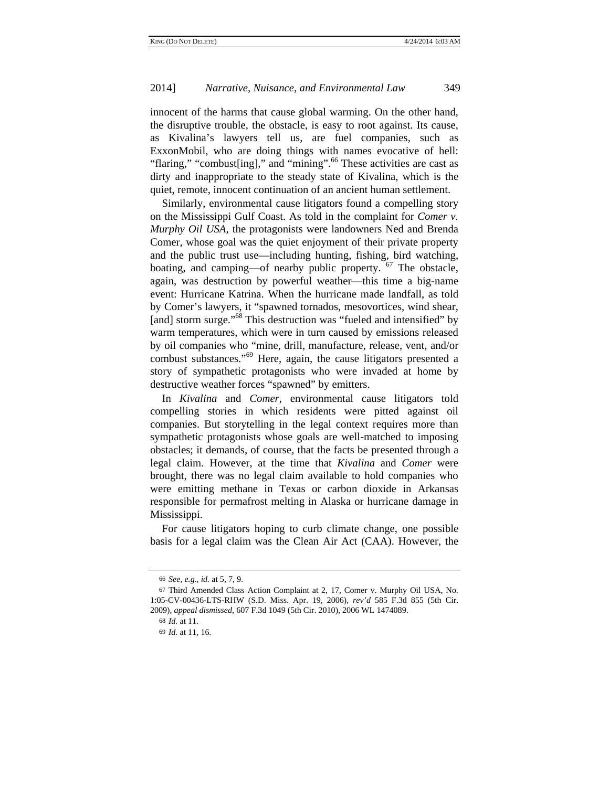innocent of the harms that cause global warming. On the other hand, the disruptive trouble, the obstacle, is easy to root against. Its cause, as Kivalina's lawyers tell us, are fuel companies, such as ExxonMobil, who are doing things with names evocative of hell: "flaring," "combust[ing]," and "mining".<sup>66</sup> These activities are cast as dirty and inappropriate to the steady state of Kivalina, which is the quiet, remote, innocent continuation of an ancient human settlement.

Similarly, environmental cause litigators found a compelling story on the Mississippi Gulf Coast. As told in the complaint for *Comer v. Murphy Oil USA*, the protagonists were landowners Ned and Brenda Comer, whose goal was the quiet enjoyment of their private property and the public trust use—including hunting, fishing, bird watching, boating, and camping—of nearby public property.  $67$  The obstacle, again, was destruction by powerful weather—this time a big-name event: Hurricane Katrina. When the hurricane made landfall, as told by Comer's lawyers, it "spawned tornados, mesovortices, wind shear, [and] storm surge."<sup>68</sup> This destruction was "fueled and intensified" by warm temperatures, which were in turn caused by emissions released by oil companies who "mine, drill, manufacture, release, vent, and/or combust substances."69 Here, again, the cause litigators presented a story of sympathetic protagonists who were invaded at home by destructive weather forces "spawned" by emitters.

In *Kivalina* and *Comer*, environmental cause litigators told compelling stories in which residents were pitted against oil companies. But storytelling in the legal context requires more than sympathetic protagonists whose goals are well-matched to imposing obstacles; it demands, of course, that the facts be presented through a legal claim. However, at the time that *Kivalina* and *Comer* were brought, there was no legal claim available to hold companies who were emitting methane in Texas or carbon dioxide in Arkansas responsible for permafrost melting in Alaska or hurricane damage in Mississippi.

For cause litigators hoping to curb climate change, one possible basis for a legal claim was the Clean Air Act (CAA). However, the

<sup>66</sup> *See, e.g.*, *id.* at 5, 7, 9.

<sup>67</sup> Third Amended Class Action Complaint at 2, 17, Comer v. Murphy Oil USA, No. 1:05-CV-00436-LTS-RHW (S.D. Miss. Apr. 19, 2006), *rev'd* 585 F.3d 855 (5th Cir. 2009), *appeal dismissed*, 607 F.3d 1049 (5th Cir. 2010), 2006 WL 1474089.

<sup>68</sup> *Id.* at 11.

<sup>69</sup> *Id.* at 11, 16.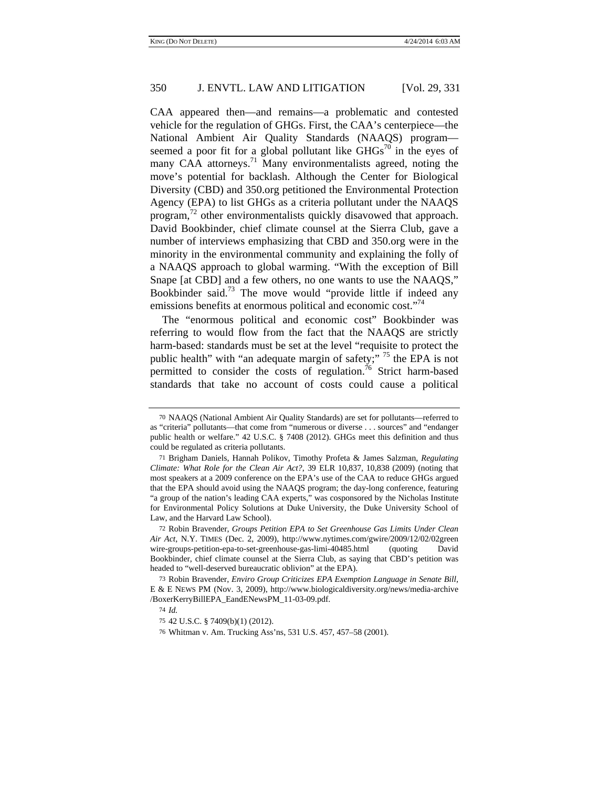CAA appeared then—and remains—a problematic and contested vehicle for the regulation of GHGs. First, the CAA's centerpiece—the National Ambient Air Quality Standards (NAAQS) program seemed a poor fit for a global pollutant like  $GHGs^{70}$  in the eyes of many CAA attorneys.<sup>71</sup> Many environmentalists agreed, noting the move's potential for backlash. Although the Center for Biological Diversity (CBD) and 350.org petitioned the Environmental Protection Agency (EPA) to list GHGs as a criteria pollutant under the NAAQS program, $^{72}$  other environmentalists quickly disavowed that approach. David Bookbinder, chief climate counsel at the Sierra Club, gave a number of interviews emphasizing that CBD and 350.org were in the minority in the environmental community and explaining the folly of a NAAQS approach to global warming. "With the exception of Bill Snape [at CBD] and a few others, no one wants to use the NAAQS," Bookbinder said.<sup>73</sup> The move would "provide little if indeed any emissions benefits at enormous political and economic cost."<sup>74</sup>

The "enormous political and economic cost" Bookbinder was referring to would flow from the fact that the NAAQS are strictly harm-based: standards must be set at the level "requisite to protect the public health" with "an adequate margin of safety;"  $^{75}$  the EPA is not permitted to consider the costs of regulation.<sup>76</sup> Strict harm-based standards that take no account of costs could cause a political

72 Robin Bravender, *Groups Petition EPA to Set Greenhouse Gas Limits Under Clean Air Act*, N.Y. TIMES (Dec. 2, 2009), http://www.nytimes.com/gwire/2009/12/02/02green wire-groups-petition-epa-to-set-greenhouse-gas-limi-40485.html (quoting David Bookbinder, chief climate counsel at the Sierra Club, as saying that CBD's petition was headed to "well-deserved bureaucratic oblivion" at the EPA).

<sup>70</sup> NAAQS (National Ambient Air Quality Standards) are set for pollutants—referred to as "criteria" pollutants—that come from "numerous or diverse . . . sources" and "endanger public health or welfare." 42 U.S.C. § 7408 (2012). GHGs meet this definition and thus could be regulated as criteria pollutants.

<sup>71</sup> Brigham Daniels, Hannah Polikov, Timothy Profeta & James Salzman, *Regulating Climate: What Role for the Clean Air Act?*, 39 ELR 10,837, 10,838 (2009) (noting that most speakers at a 2009 conference on the EPA's use of the CAA to reduce GHGs argued that the EPA should avoid using the NAAQS program; the day-long conference, featuring "a group of the nation's leading CAA experts," was cosponsored by the Nicholas Institute for Environmental Policy Solutions at Duke University, the Duke University School of Law, and the Harvard Law School).

<sup>73</sup> Robin Bravender, *Enviro Group Criticizes EPA Exemption Language in Senate Bill*, E & E NEWS PM (Nov. 3, 2009), http://www.biologicaldiversity.org/news/media-archive /BoxerKerryBillEPA\_EandENewsPM\_11-03-09.pdf.

<sup>74</sup> *Id.*

<sup>75</sup> 42 U.S.C. § 7409(b)(1) (2012).

<sup>76</sup> Whitman v. Am. Trucking Ass'ns, 531 U.S. 457, 457–58 (2001).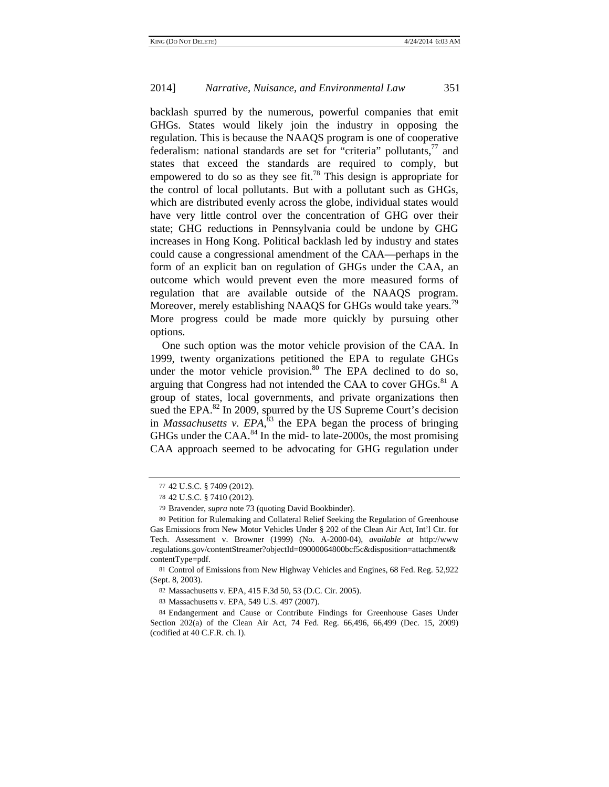backlash spurred by the numerous, powerful companies that emit GHGs. States would likely join the industry in opposing the regulation. This is because the NAAQS program is one of cooperative federalism: national standards are set for "criteria" pollutants, $^{77}$  and states that exceed the standards are required to comply, but empowered to do so as they see fit.<sup>78</sup> This design is appropriate for the control of local pollutants. But with a pollutant such as GHGs, which are distributed evenly across the globe, individual states would have very little control over the concentration of GHG over their state; GHG reductions in Pennsylvania could be undone by GHG increases in Hong Kong. Political backlash led by industry and states could cause a congressional amendment of the CAA—perhaps in the form of an explicit ban on regulation of GHGs under the CAA, an outcome which would prevent even the more measured forms of regulation that are available outside of the NAAQS program. Moreover, merely establishing NAAQS for GHGs would take years.<sup>79</sup> More progress could be made more quickly by pursuing other options.

One such option was the motor vehicle provision of the CAA. In 1999, twenty organizations petitioned the EPA to regulate GHGs under the motor vehicle provision. $80$  The EPA declined to do so, arguing that Congress had not intended the CAA to cover  $GHGs.<sup>81</sup>$  A group of states, local governments, and private organizations then sued the EPA.<sup>82</sup> In 2009, spurred by the US Supreme Court's decision in *Massachusetts v. EPA*, 83 the EPA began the process of bringing GHGs under the CAA. $^{84}$  In the mid- to late-2000s, the most promising CAA approach seemed to be advocating for GHG regulation under

81 Control of Emissions from New Highway Vehicles and Engines, 68 Fed. Reg. 52,922 (Sept. 8, 2003).

82 Massachusetts v. EPA, 415 F.3d 50, 53 (D.C. Cir. 2005).

<sup>77</sup> 42 U.S.C. § 7409 (2012).

<sup>78</sup> 42 U.S.C. § 7410 (2012).

<sup>79</sup> Bravender, *supra* note 73 (quoting David Bookbinder).

<sup>80</sup> Petition for Rulemaking and Collateral Relief Seeking the Regulation of Greenhouse Gas Emissions from New Motor Vehicles Under § 202 of the Clean Air Act, Int'l Ctr. for Tech. Assessment v. Browner (1999) (No. A-2000-04), *available at* http://www .regulations.gov/contentStreamer?objectId=09000064800bcf5c&disposition=attachment& contentType=pdf.

<sup>83</sup> Massachusetts v. EPA, 549 U.S. 497 (2007).

<sup>84</sup> Endangerment and Cause or Contribute Findings for Greenhouse Gases Under Section 202(a) of the Clean Air Act, 74 Fed. Reg. 66,496, 66,499 (Dec. 15, 2009) (codified at 40 C.F.R. ch. I).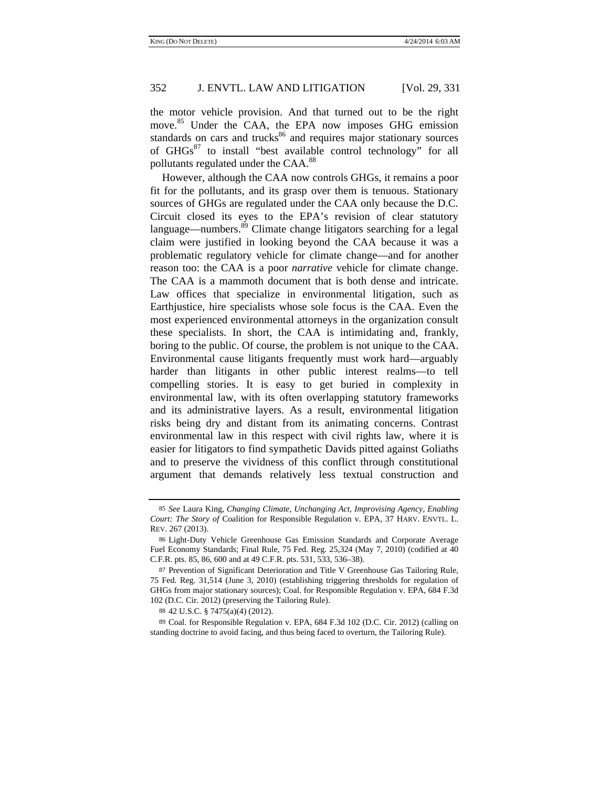the motor vehicle provision. And that turned out to be the right move.<sup>85</sup> Under the CAA, the EPA now imposes GHG emission standards on cars and trucks $86$  and requires major stationary sources of GHGs<sup>87</sup> to install "best available control technology" for all pollutants regulated under the CAA.<sup>88</sup>

However, although the CAA now controls GHGs, it remains a poor fit for the pollutants, and its grasp over them is tenuous. Stationary sources of GHGs are regulated under the CAA only because the D.C. Circuit closed its eyes to the EPA's revision of clear statutory language—numbers.<sup>89</sup> Climate change litigators searching for a legal claim were justified in looking beyond the CAA because it was a problematic regulatory vehicle for climate change—and for another reason too: the CAA is a poor *narrative* vehicle for climate change. The CAA is a mammoth document that is both dense and intricate. Law offices that specialize in environmental litigation, such as Earthjustice, hire specialists whose sole focus is the CAA. Even the most experienced environmental attorneys in the organization consult these specialists. In short, the CAA is intimidating and, frankly, boring to the public. Of course, the problem is not unique to the CAA. Environmental cause litigants frequently must work hard—arguably harder than litigants in other public interest realms—to tell compelling stories. It is easy to get buried in complexity in environmental law, with its often overlapping statutory frameworks and its administrative layers. As a result, environmental litigation risks being dry and distant from its animating concerns. Contrast environmental law in this respect with civil rights law, where it is easier for litigators to find sympathetic Davids pitted against Goliaths and to preserve the vividness of this conflict through constitutional argument that demands relatively less textual construction and

<sup>85</sup> *See* Laura King, *Changing Climate, Unchanging Act, Improvising Agency, Enabling Court: The Story of* Coalition for Responsible Regulation v. EPA, 37 HARV. ENVTL. L. REV. 267 (2013).

<sup>86</sup> Light-Duty Vehicle Greenhouse Gas Emission Standards and Corporate Average Fuel Economy Standards; Final Rule, 75 Fed. Reg. 25,324 (May 7, 2010) (codified at 40 C.F.R. pts. 85, 86, 600 and at 49 C.F.R. pts. 531, 533, 536–38).

<sup>87</sup> Prevention of Significant Deterioration and Title V Greenhouse Gas Tailoring Rule, 75 Fed. Reg. 31,514 (June 3, 2010) (establishing triggering thresholds for regulation of GHGs from major stationary sources); Coal. for Responsible Regulation v. EPA, 684 F.3d 102 (D.C. Cir. 2012) (preserving the Tailoring Rule).

<sup>88</sup> 42 U.S.C. § 7475(a)(4) (2012).

<sup>89</sup> Coal. for Responsible Regulation v. EPA, 684 F.3d 102 (D.C. Cir. 2012) (calling on standing doctrine to avoid facing, and thus being faced to overturn, the Tailoring Rule).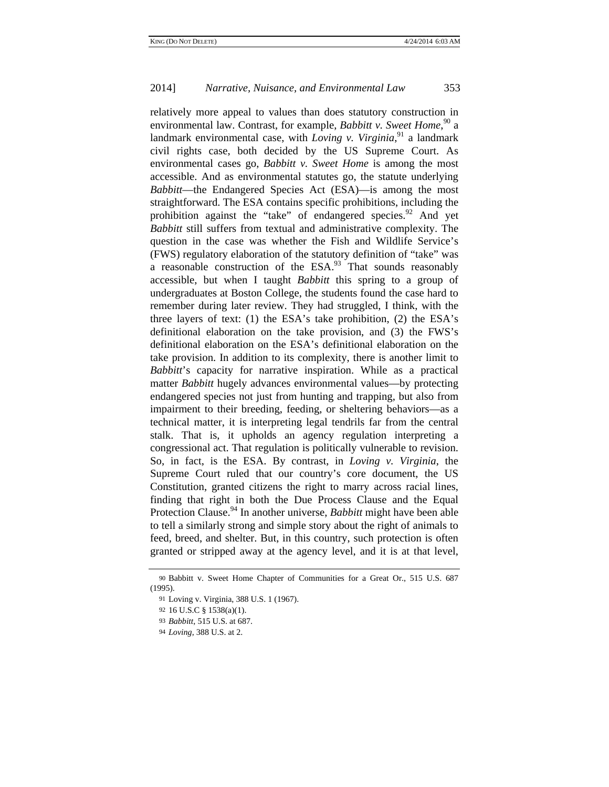relatively more appeal to values than does statutory construction in environmental law. Contrast, for example, *Babbitt v. Sweet Home*,<sup>90</sup> a landmark environmental case, with *Loving v. Virginia*,<sup>91</sup> a landmark civil rights case, both decided by the US Supreme Court. As environmental cases go, *Babbitt v. Sweet Home* is among the most accessible. And as environmental statutes go, the statute underlying *Babbitt*—the Endangered Species Act (ESA)—is among the most straightforward. The ESA contains specific prohibitions, including the prohibition against the "take" of endangered species. $^{92}$  And yet *Babbitt* still suffers from textual and administrative complexity. The question in the case was whether the Fish and Wildlife Service's (FWS) regulatory elaboration of the statutory definition of "take" was a reasonable construction of the  $ESA.^{93}$ . That sounds reasonably accessible, but when I taught *Babbitt* this spring to a group of undergraduates at Boston College, the students found the case hard to remember during later review. They had struggled, I think, with the three layers of text: (1) the ESA's take prohibition, (2) the ESA's definitional elaboration on the take provision, and (3) the FWS's definitional elaboration on the ESA's definitional elaboration on the take provision. In addition to its complexity, there is another limit to *Babbitt*'s capacity for narrative inspiration. While as a practical matter *Babbitt* hugely advances environmental values—by protecting endangered species not just from hunting and trapping, but also from impairment to their breeding, feeding, or sheltering behaviors—as a technical matter, it is interpreting legal tendrils far from the central stalk. That is, it upholds an agency regulation interpreting a congressional act. That regulation is politically vulnerable to revision. So, in fact, is the ESA. By contrast, in *Loving v. Virginia*, the Supreme Court ruled that our country's core document, the US Constitution, granted citizens the right to marry across racial lines, finding that right in both the Due Process Clause and the Equal Protection Clause.<sup>94</sup> In another universe, *Babbitt* might have been able to tell a similarly strong and simple story about the right of animals to feed, breed, and shelter. But, in this country, such protection is often granted or stripped away at the agency level, and it is at that level,

<sup>90</sup> Babbitt v. Sweet Home Chapter of Communities for a Great Or., 515 U.S. 687 (1995).

<sup>91</sup> Loving v. Virginia, 388 U.S. 1 (1967).

<sup>92</sup> 16 U.S.C § 1538(a)(1).

<sup>93</sup> *Babbitt*, 515 U.S. at 687.

<sup>94</sup> *Loving*, 388 U.S. at 2.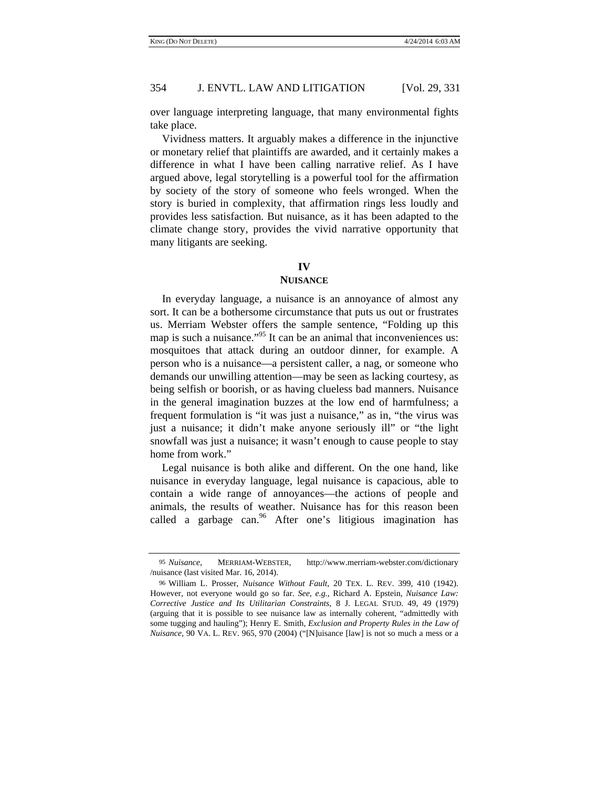over language interpreting language, that many environmental fights take place.

Vividness matters. It arguably makes a difference in the injunctive or monetary relief that plaintiffs are awarded, and it certainly makes a difference in what I have been calling narrative relief. As I have argued above, legal storytelling is a powerful tool for the affirmation by society of the story of someone who feels wronged. When the story is buried in complexity, that affirmation rings less loudly and provides less satisfaction. But nuisance, as it has been adapted to the climate change story, provides the vivid narrative opportunity that many litigants are seeking.

# **IV**

#### **NUISANCE**

In everyday language, a nuisance is an annoyance of almost any sort. It can be a bothersome circumstance that puts us out or frustrates us. Merriam Webster offers the sample sentence, "Folding up this map is such a nuisance. $^{95}$  It can be an animal that inconveniences us: mosquitoes that attack during an outdoor dinner, for example. A person who is a nuisance—a persistent caller, a nag, or someone who demands our unwilling attention—may be seen as lacking courtesy, as being selfish or boorish, or as having clueless bad manners. Nuisance in the general imagination buzzes at the low end of harmfulness; a frequent formulation is "it was just a nuisance," as in, "the virus was just a nuisance; it didn't make anyone seriously ill" or "the light snowfall was just a nuisance; it wasn't enough to cause people to stay home from work."

Legal nuisance is both alike and different. On the one hand, like nuisance in everyday language, legal nuisance is capacious, able to contain a wide range of annoyances—the actions of people and animals, the results of weather. Nuisance has for this reason been called a garbage can. $96$  After one's litigious imagination has

<sup>95</sup> *Nuisance*, MERRIAM-WEBSTER, http://www.merriam-webster.com/dictionary /nuisance (last visited Mar. 16, 2014).

<sup>96</sup> William L. Prosser, *Nuisance Without Fault*, 20 TEX. L. REV. 399, 410 (1942). However, not everyone would go so far. *See, e.g.*, Richard A. Epstein, *Nuisance Law: Corrective Justice and Its Utilitarian Constraints*, 8 J. LEGAL STUD. 49, 49 (1979) (arguing that it is possible to see nuisance law as internally coherent, "admittedly with some tugging and hauling"); Henry E. Smith, *Exclusion and Property Rules in the Law of Nuisance*, 90 VA. L. REV. 965, 970 (2004) ("[N]uisance [law] is not so much a mess or a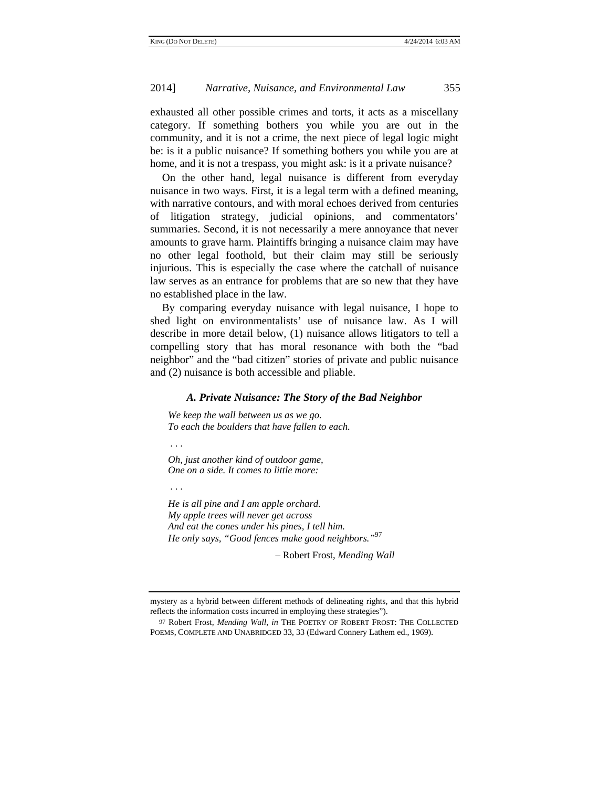exhausted all other possible crimes and torts, it acts as a miscellany category. If something bothers you while you are out in the community, and it is not a crime, the next piece of legal logic might be: is it a public nuisance? If something bothers you while you are at home, and it is not a trespass, you might ask: is it a private nuisance?

On the other hand, legal nuisance is different from everyday nuisance in two ways. First, it is a legal term with a defined meaning, with narrative contours, and with moral echoes derived from centuries of litigation strategy, judicial opinions, and commentators' summaries. Second, it is not necessarily a mere annoyance that never amounts to grave harm. Plaintiffs bringing a nuisance claim may have no other legal foothold, but their claim may still be seriously injurious. This is especially the case where the catchall of nuisance law serves as an entrance for problems that are so new that they have no established place in the law.

By comparing everyday nuisance with legal nuisance, I hope to shed light on environmentalists' use of nuisance law. As I will describe in more detail below, (1) nuisance allows litigators to tell a compelling story that has moral resonance with both the "bad neighbor" and the "bad citizen" stories of private and public nuisance and (2) nuisance is both accessible and pliable.

## *A. Private Nuisance: The Story of the Bad Neighbor*

*We keep the wall between us as we go. To each the boulders that have fallen to each.* 

 *. . .* 

*Oh, just another kind of outdoor game, One on a side. It comes to little more:* 

 *. . .* 

*He is all pine and I am apple orchard. My apple trees will never get across And eat the cones under his pines, I tell him. He only says, "Good fences make good neighbors."*<sup>97</sup>

– Robert Frost, *Mending Wall*

mystery as a hybrid between different methods of delineating rights, and that this hybrid reflects the information costs incurred in employing these strategies").

<sup>97</sup> Robert Frost, *Mending Wall*, *in* THE POETRY OF ROBERT FROST: THE COLLECTED POEMS, COMPLETE AND UNABRIDGED 33, 33 (Edward Connery Lathem ed., 1969).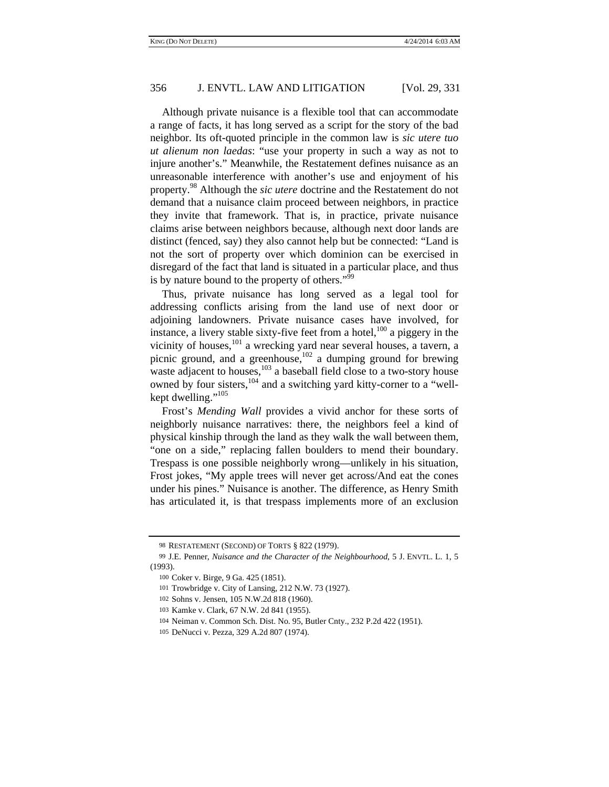Although private nuisance is a flexible tool that can accommodate a range of facts, it has long served as a script for the story of the bad neighbor. Its oft-quoted principle in the common law is *sic utere tuo ut alienum non laedas*: "use your property in such a way as not to injure another's." Meanwhile, the Restatement defines nuisance as an unreasonable interference with another's use and enjoyment of his property.98 Although the *sic utere* doctrine and the Restatement do not demand that a nuisance claim proceed between neighbors, in practice they invite that framework. That is, in practice, private nuisance claims arise between neighbors because, although next door lands are distinct (fenced, say) they also cannot help but be connected: "Land is not the sort of property over which dominion can be exercised in disregard of the fact that land is situated in a particular place, and thus is by nature bound to the property of others."<sup>99</sup>

Thus, private nuisance has long served as a legal tool for addressing conflicts arising from the land use of next door or adjoining landowners. Private nuisance cases have involved, for instance, a livery stable sixty-five feet from a hotel, $100$  a piggery in the vicinity of houses,  $^{101}$  a wrecking yard near several houses, a tavern, a picnic ground, and a greenhouse, $102$  a dumping ground for brewing waste adjacent to houses,<sup>103</sup> a baseball field close to a two-story house owned by four sisters,  $104$  and a switching yard kitty-corner to a "wellkept dwelling."<sup>105</sup>

Frost's *Mending Wall* provides a vivid anchor for these sorts of neighborly nuisance narratives: there, the neighbors feel a kind of physical kinship through the land as they walk the wall between them, "one on a side," replacing fallen boulders to mend their boundary. Trespass is one possible neighborly wrong—unlikely in his situation, Frost jokes, "My apple trees will never get across/And eat the cones under his pines." Nuisance is another. The difference, as Henry Smith has articulated it, is that trespass implements more of an exclusion

<sup>98</sup> RESTATEMENT (SECOND) OF TORTS § 822 (1979).

<sup>99</sup> J.E. Penner, *Nuisance and the Character of the Neighbourhood*, 5 J. ENVTL. L. 1, 5 (1993).

<sup>100</sup> Coker v. Birge, 9 Ga. 425 (1851).

<sup>101</sup> Trowbridge v. City of Lansing, 212 N.W. 73 (1927).

<sup>102</sup> Sohns v. Jensen, 105 N.W.2d 818 (1960).

<sup>103</sup> Kamke v. Clark, 67 N.W. 2d 841 (1955).

<sup>104</sup> Neiman v. Common Sch. Dist. No. 95, Butler Cnty., 232 P.2d 422 (1951).

<sup>105</sup> DeNucci v. Pezza, 329 A.2d 807 (1974).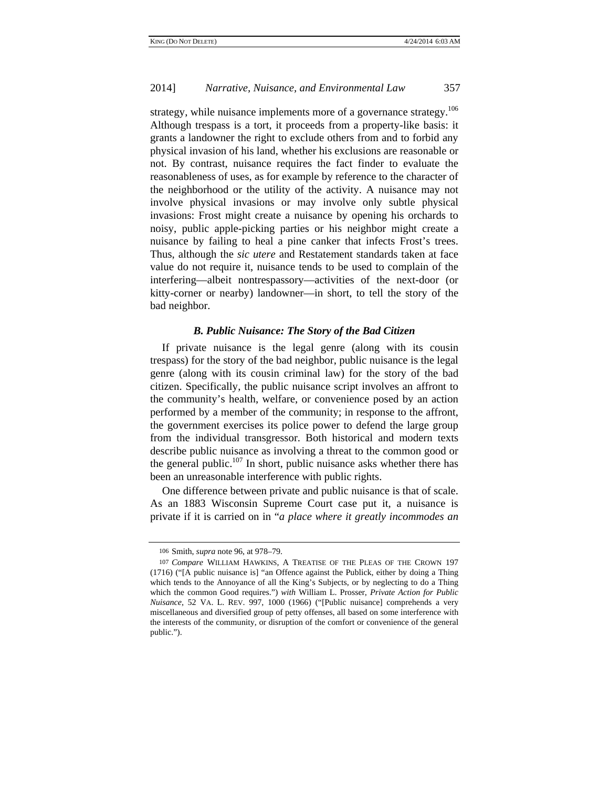strategy, while nuisance implements more of a governance strategy.<sup>106</sup> Although trespass is a tort, it proceeds from a property-like basis: it grants a landowner the right to exclude others from and to forbid any physical invasion of his land, whether his exclusions are reasonable or not. By contrast, nuisance requires the fact finder to evaluate the reasonableness of uses, as for example by reference to the character of the neighborhood or the utility of the activity. A nuisance may not involve physical invasions or may involve only subtle physical invasions: Frost might create a nuisance by opening his orchards to noisy, public apple-picking parties or his neighbor might create a nuisance by failing to heal a pine canker that infects Frost's trees. Thus, although the *sic utere* and Restatement standards taken at face value do not require it, nuisance tends to be used to complain of the interfering—albeit nontrespassory—activities of the next-door (or kitty-corner or nearby) landowner—in short, to tell the story of the bad neighbor.

## *B. Public Nuisance: The Story of the Bad Citizen*

If private nuisance is the legal genre (along with its cousin trespass) for the story of the bad neighbor, public nuisance is the legal genre (along with its cousin criminal law) for the story of the bad citizen. Specifically, the public nuisance script involves an affront to the community's health, welfare, or convenience posed by an action performed by a member of the community; in response to the affront, the government exercises its police power to defend the large group from the individual transgressor. Both historical and modern texts describe public nuisance as involving a threat to the common good or the general public.<sup>107</sup> In short, public nuisance asks whether there has been an unreasonable interference with public rights.

One difference between private and public nuisance is that of scale. As an 1883 Wisconsin Supreme Court case put it, a nuisance is private if it is carried on in "*a place where it greatly incommodes an* 

<sup>106</sup> Smith, *supra* note 96, at 978–79.

<sup>107</sup> *Compare* WILLIAM HAWKINS, A TREATISE OF THE PLEAS OF THE CROWN 197 (1716) ("[A public nuisance is] "an Offence against the Publick, either by doing a Thing which tends to the Annoyance of all the King's Subjects, or by neglecting to do a Thing which the common Good requires.") *with* William L. Prosser, *Private Action for Public Nuisance*, 52 VA. L. REV. 997, 1000 (1966) ("[Public nuisance] comprehends a very miscellaneous and diversified group of petty offenses, all based on some interference with the interests of the community, or disruption of the comfort or convenience of the general public.").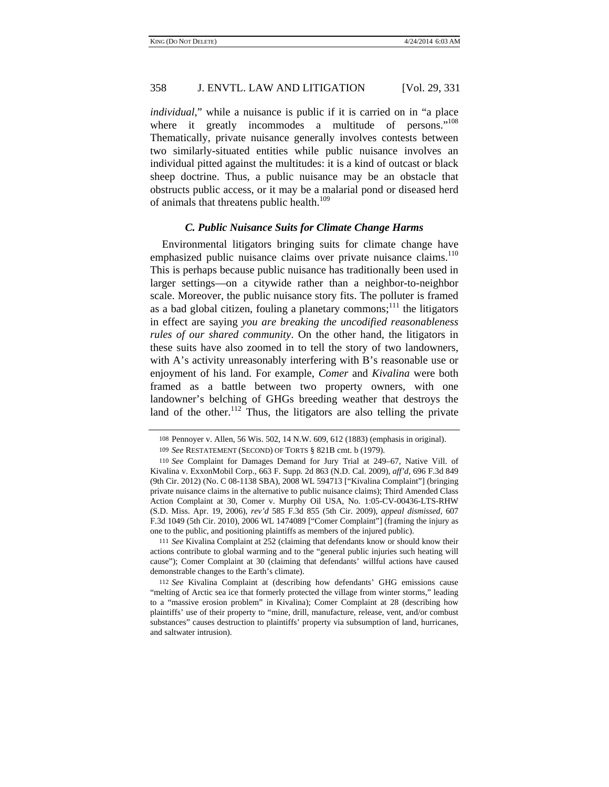*individual*," while a nuisance is public if it is carried on in "a place where it greatly incommodes a multitude of persons."<sup>108</sup> Thematically, private nuisance generally involves contests between two similarly-situated entities while public nuisance involves an individual pitted against the multitudes: it is a kind of outcast or black sheep doctrine. Thus, a public nuisance may be an obstacle that obstructs public access, or it may be a malarial pond or diseased herd of animals that threatens public health.<sup>109</sup>

#### *C. Public Nuisance Suits for Climate Change Harms*

Environmental litigators bringing suits for climate change have emphasized public nuisance claims over private nuisance claims.<sup>110</sup> This is perhaps because public nuisance has traditionally been used in larger settings—on a citywide rather than a neighbor-to-neighbor scale. Moreover, the public nuisance story fits. The polluter is framed as a bad global citizen, fouling a planetary commons;<sup>111</sup> the litigators in effect are saying *you are breaking the uncodified reasonableness rules of our shared community*. On the other hand, the litigators in these suits have also zoomed in to tell the story of two landowners, with A's activity unreasonably interfering with B's reasonable use or enjoyment of his land. For example, *Comer* and *Kivalina* were both framed as a battle between two property owners, with one landowner's belching of GHGs breeding weather that destroys the land of the other.<sup>112</sup> Thus, the litigators are also telling the private

111 *See* Kivalina Complaint at 252 (claiming that defendants know or should know their actions contribute to global warming and to the "general public injuries such heating will cause"); Comer Complaint at 30 (claiming that defendants' willful actions have caused demonstrable changes to the Earth's climate).

<sup>108</sup> Pennoyer v. Allen, 56 Wis. 502, 14 N.W. 609, 612 (1883) (emphasis in original). 109 *See* RESTATEMENT (SECOND) OF TORTS § 821B cmt. b (1979).

<sup>110</sup> *See* Complaint for Damages Demand for Jury Trial at 249–67, Native Vill. of Kivalina v. ExxonMobil Corp., 663 F. Supp. 2d 863 (N.D. Cal. 2009), *aff'd*, 696 F.3d 849 (9th Cir. 2012) (No. C 08-1138 SBA), 2008 WL 594713 ["Kivalina Complaint"] (bringing private nuisance claims in the alternative to public nuisance claims); Third Amended Class Action Complaint at 30, Comer v. Murphy Oil USA, No. 1:05-CV-00436-LTS-RHW (S.D. Miss. Apr. 19, 2006), *rev'd* 585 F.3d 855 (5th Cir. 2009), *appeal dismissed*, 607 F.3d 1049 (5th Cir. 2010), 2006 WL 1474089 ["Comer Complaint"] (framing the injury as one to the public, and positioning plaintiffs as members of the injured public).

<sup>112</sup> *See* Kivalina Complaint at (describing how defendants' GHG emissions cause "melting of Arctic sea ice that formerly protected the village from winter storms," leading to a "massive erosion problem" in Kivalina); Comer Complaint at 28 (describing how plaintiffs' use of their property to "mine, drill, manufacture, release, vent, and/or combust substances" causes destruction to plaintiffs' property via subsumption of land, hurricanes, and saltwater intrusion).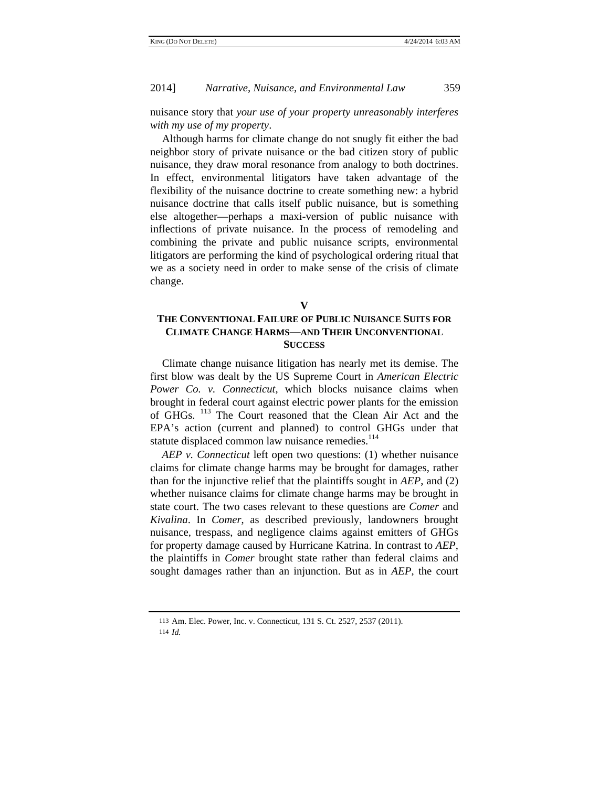nuisance story that *your use of your property unreasonably interferes with my use of my property*.

Although harms for climate change do not snugly fit either the bad neighbor story of private nuisance or the bad citizen story of public nuisance, they draw moral resonance from analogy to both doctrines. In effect, environmental litigators have taken advantage of the flexibility of the nuisance doctrine to create something new: a hybrid nuisance doctrine that calls itself public nuisance, but is something else altogether—perhaps a maxi-version of public nuisance with inflections of private nuisance. In the process of remodeling and combining the private and public nuisance scripts, environmental litigators are performing the kind of psychological ordering ritual that we as a society need in order to make sense of the crisis of climate change.

# **V**

# **THE CONVENTIONAL FAILURE OF PUBLIC NUISANCE SUITS FOR CLIMATE CHANGE HARMS—AND THEIR UNCONVENTIONAL SUCCESS**

Climate change nuisance litigation has nearly met its demise. The first blow was dealt by the US Supreme Court in *American Electric Power Co. v. Connecticut*, which blocks nuisance claims when brought in federal court against electric power plants for the emission of GHGs. <sup>113</sup> The Court reasoned that the Clean Air Act and the EPA's action (current and planned) to control GHGs under that statute displaced common law nuisance remedies.<sup>114</sup>

*AEP v. Connecticut* left open two questions: (1) whether nuisance claims for climate change harms may be brought for damages, rather than for the injunctive relief that the plaintiffs sought in *AEP*, and (2) whether nuisance claims for climate change harms may be brought in state court. The two cases relevant to these questions are *Comer* and *Kivalina*. In *Comer*, as described previously, landowners brought nuisance, trespass, and negligence claims against emitters of GHGs for property damage caused by Hurricane Katrina. In contrast to *AEP*, the plaintiffs in *Comer* brought state rather than federal claims and sought damages rather than an injunction. But as in *AEP*, the court

<sup>113</sup> Am. Elec. Power, Inc. v. Connecticut, 131 S. Ct. 2527, 2537 (2011).

<sup>114</sup> *Id.*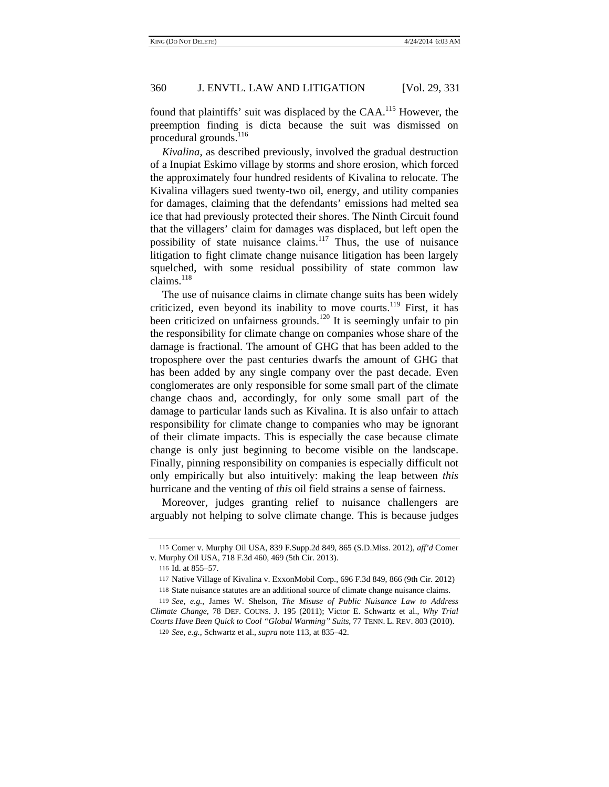found that plaintiffs' suit was displaced by the CAA.<sup>115</sup> However, the preemption finding is dicta because the suit was dismissed on procedural grounds.<sup>116</sup>

*Kivalina*, as described previously, involved the gradual destruction of a Inupiat Eskimo village by storms and shore erosion, which forced the approximately four hundred residents of Kivalina to relocate. The Kivalina villagers sued twenty-two oil, energy, and utility companies for damages, claiming that the defendants' emissions had melted sea ice that had previously protected their shores. The Ninth Circuit found that the villagers' claim for damages was displaced, but left open the possibility of state nuisance claims.<sup>117</sup> Thus, the use of nuisance litigation to fight climate change nuisance litigation has been largely squelched, with some residual possibility of state common law claims.<sup>118</sup>

The use of nuisance claims in climate change suits has been widely criticized, even beyond its inability to move courts.<sup>119</sup> First, it has been criticized on unfairness grounds.<sup>120</sup> It is seemingly unfair to pin the responsibility for climate change on companies whose share of the damage is fractional. The amount of GHG that has been added to the troposphere over the past centuries dwarfs the amount of GHG that has been added by any single company over the past decade. Even conglomerates are only responsible for some small part of the climate change chaos and, accordingly, for only some small part of the damage to particular lands such as Kivalina. It is also unfair to attach responsibility for climate change to companies who may be ignorant of their climate impacts. This is especially the case because climate change is only just beginning to become visible on the landscape. Finally, pinning responsibility on companies is especially difficult not only empirically but also intuitively: making the leap between *this* hurricane and the venting of *this* oil field strains a sense of fairness.

Moreover, judges granting relief to nuisance challengers are arguably not helping to solve climate change. This is because judges

<sup>115</sup> Comer v. Murphy Oil USA, 839 F.Supp.2d 849, 865 (S.D.Miss. 2012), *aff'd* Comer v. Murphy Oil USA, 718 F.3d 460, 469 (5th Cir. 2013).

<sup>116</sup> Id. at 855–57.

<sup>117</sup> Native Village of Kivalina v. ExxonMobil Corp., 696 F.3d 849, 866 (9th Cir. 2012)

<sup>118</sup> State nuisance statutes are an additional source of climate change nuisance claims.

<sup>119</sup> *See, e.g.*, James W. Shelson, *The Misuse of Public Nuisance Law to Address Climate Change*, 78 DEF. COUNS. J. 195 (2011); Victor E. Schwartz et al., *Why Trial Courts Have Been Quick to Cool "Global Warming" Suits*, 77 TENN. L. REV. 803 (2010).

<sup>120</sup> *See, e.g.*, Schwartz et al., *supra* note 113, at 835–42.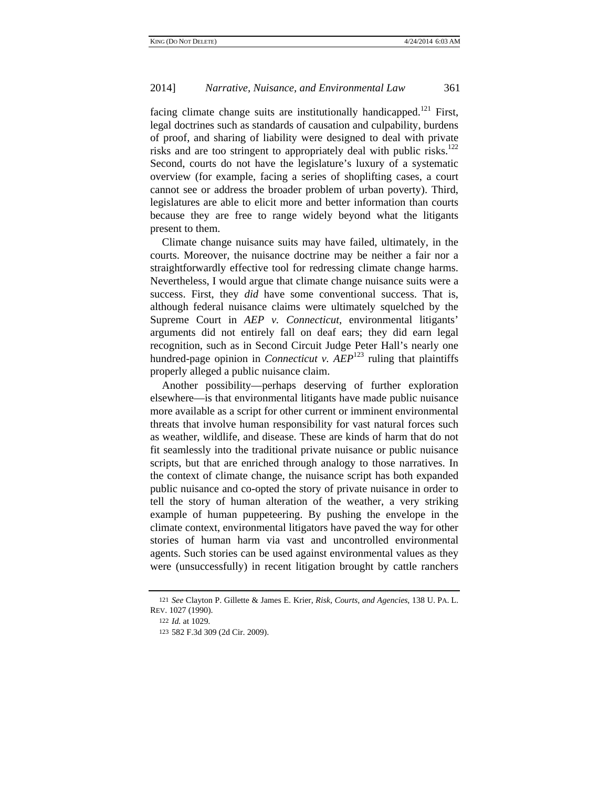facing climate change suits are institutionally handicapped.<sup>121</sup> First, legal doctrines such as standards of causation and culpability, burdens of proof, and sharing of liability were designed to deal with private risks and are too stringent to appropriately deal with public risks. $^{122}$ Second, courts do not have the legislature's luxury of a systematic overview (for example, facing a series of shoplifting cases, a court cannot see or address the broader problem of urban poverty). Third, legislatures are able to elicit more and better information than courts because they are free to range widely beyond what the litigants present to them.

Climate change nuisance suits may have failed, ultimately, in the courts. Moreover, the nuisance doctrine may be neither a fair nor a straightforwardly effective tool for redressing climate change harms. Nevertheless, I would argue that climate change nuisance suits were a success. First, they *did* have some conventional success. That is, although federal nuisance claims were ultimately squelched by the Supreme Court in *AEP v. Connecticut*, environmental litigants' arguments did not entirely fall on deaf ears; they did earn legal recognition, such as in Second Circuit Judge Peter Hall's nearly one hundred-page opinion in *Connecticut v.*  $AEP<sup>123</sup>$  ruling that plaintiffs properly alleged a public nuisance claim.

Another possibility—perhaps deserving of further exploration elsewhere—is that environmental litigants have made public nuisance more available as a script for other current or imminent environmental threats that involve human responsibility for vast natural forces such as weather, wildlife, and disease. These are kinds of harm that do not fit seamlessly into the traditional private nuisance or public nuisance scripts, but that are enriched through analogy to those narratives. In the context of climate change, the nuisance script has both expanded public nuisance and co-opted the story of private nuisance in order to tell the story of human alteration of the weather, a very striking example of human puppeteering. By pushing the envelope in the climate context, environmental litigators have paved the way for other stories of human harm via vast and uncontrolled environmental agents. Such stories can be used against environmental values as they were (unsuccessfully) in recent litigation brought by cattle ranchers

<sup>121</sup> *See* Clayton P. Gillette & James E. Krier, *Risk, Courts, and Agencies*, 138 U. PA. L. REV. 1027 (1990).

<sup>122</sup> *Id.* at 1029.

<sup>123</sup> 582 F.3d 309 (2d Cir. 2009).